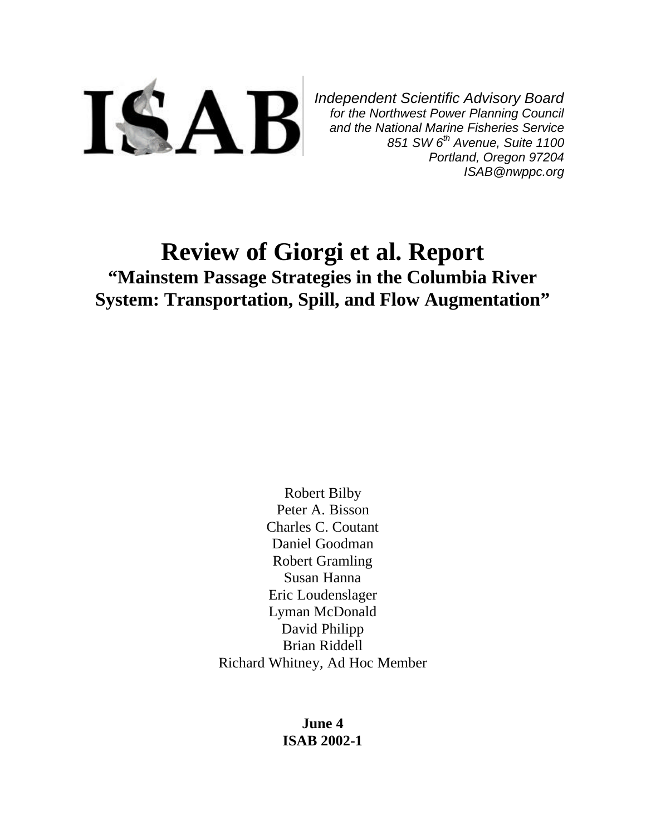

*Independent Scientific Advisory Board for the Northwest Power Planning Council and the National Marine Fisheries Service 851 SW 6th Avenue, Suite 1100 Portland, Oregon 97204 ISAB@nwppc.org*

# **Review of Giorgi et al. Report "Mainstem Passage Strategies in the Columbia River System: Transportation, Spill, and Flow Augmentation"**

Robert Bilby Peter A. Bisson Charles C. Coutant Daniel Goodman Robert Gramling Susan Hanna Eric Loudenslager Lyman McDonald David Philipp Brian Riddell Richard Whitney, Ad Hoc Member

> **June 4 ISAB 2002-1**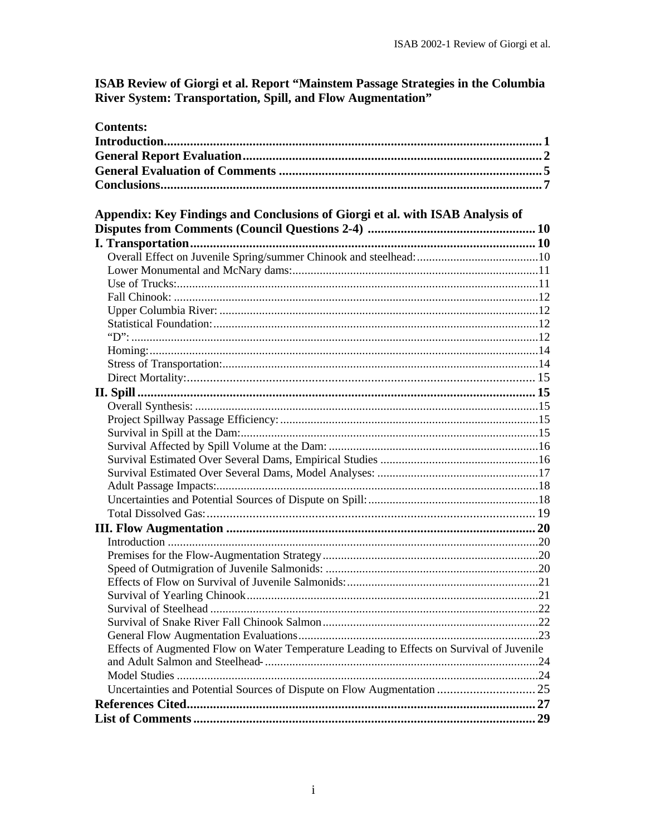# ISAB Review of Giorgi et al. Report "Mainstem Passage Strategies in the Columbia<br>River System: Transportation, Spill, and Flow Augmentation"

| <b>Contents:</b>                                                                          |  |
|-------------------------------------------------------------------------------------------|--|
|                                                                                           |  |
|                                                                                           |  |
|                                                                                           |  |
|                                                                                           |  |
|                                                                                           |  |
| Appendix: Key Findings and Conclusions of Giorgi et al. with ISAB Analysis of             |  |
|                                                                                           |  |
|                                                                                           |  |
|                                                                                           |  |
|                                                                                           |  |
|                                                                                           |  |
|                                                                                           |  |
|                                                                                           |  |
|                                                                                           |  |
|                                                                                           |  |
|                                                                                           |  |
|                                                                                           |  |
|                                                                                           |  |
|                                                                                           |  |
|                                                                                           |  |
|                                                                                           |  |
|                                                                                           |  |
|                                                                                           |  |
|                                                                                           |  |
|                                                                                           |  |
|                                                                                           |  |
|                                                                                           |  |
|                                                                                           |  |
|                                                                                           |  |
|                                                                                           |  |
|                                                                                           |  |
|                                                                                           |  |
|                                                                                           |  |
|                                                                                           |  |
|                                                                                           |  |
|                                                                                           |  |
|                                                                                           |  |
| Effects of Augmented Flow on Water Temperature Leading to Effects on Survival of Juvenile |  |
|                                                                                           |  |
|                                                                                           |  |
|                                                                                           |  |
|                                                                                           |  |
|                                                                                           |  |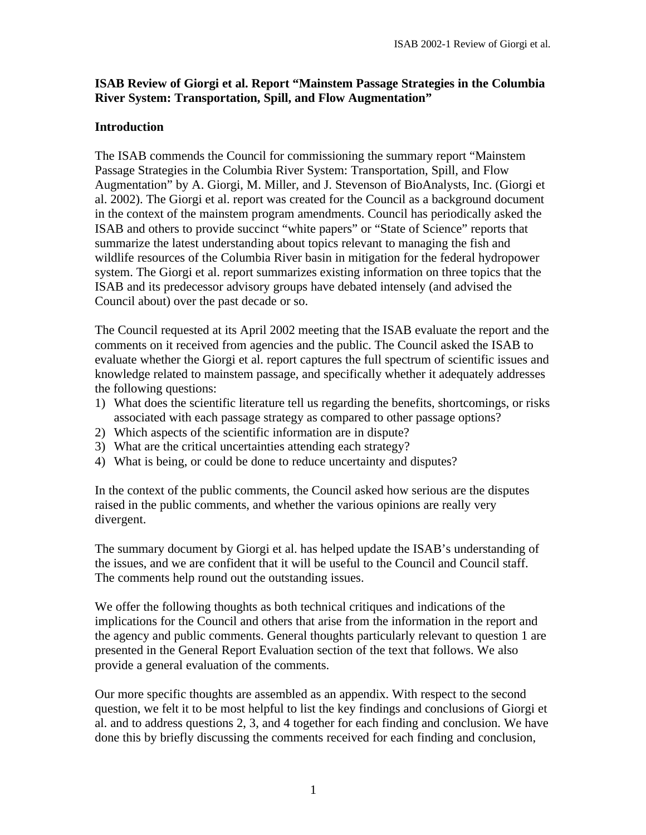# **ISAB Review of Giorgi et al. Report "Mainstem Passage Strategies in the Columbia River System: Transportation, Spill, and Flow Augmentation"**

# **Introduction**

The ISAB commends the Council for commissioning the summary report "Mainstem Passage Strategies in the Columbia River System: Transportation, Spill, and Flow Augmentation" by A. Giorgi, M. Miller, and J. Stevenson of BioAnalysts, Inc. (Giorgi et al. 2002). The Giorgi et al. report was created for the Council as a background document in the context of the mainstem program amendments. Council has periodically asked the ISAB and others to provide succinct "white papers" or "State of Science" reports that summarize the latest understanding about topics relevant to managing the fish and wildlife resources of the Columbia River basin in mitigation for the federal hydropower system. The Giorgi et al. report summarizes existing information on three topics that the ISAB and its predecessor advisory groups have debated intensely (and advised the Council about) over the past decade or so.

The Council requested at its April 2002 meeting that the ISAB evaluate the report and the comments on it received from agencies and the public. The Council asked the ISAB to evaluate whether the Giorgi et al. report captures the full spectrum of scientific issues and knowledge related to mainstem passage, and specifically whether it adequately addresses the following questions:

- 1) What does the scientific literature tell us regarding the benefits, shortcomings, or risks associated with each passage strategy as compared to other passage options?
- 2) Which aspects of the scientific information are in dispute?
- 3) What are the critical uncertainties attending each strategy?
- 4) What is being, or could be done to reduce uncertainty and disputes?

In the context of the public comments, the Council asked how serious are the disputes raised in the public comments, and whether the various opinions are really very divergent.

The summary document by Giorgi et al. has helped update the ISAB's understanding of the issues, and we are confident that it will be useful to the Council and Council staff. The comments help round out the outstanding issues.

We offer the following thoughts as both technical critiques and indications of the implications for the Council and others that arise from the information in the report and the agency and public comments. General thoughts particularly relevant to question 1 are presented in the General Report Evaluation section of the text that follows. We also provide a general evaluation of the comments.

Our more specific thoughts are assembled as an appendix. With respect to the second question, we felt it to be most helpful to list the key findings and conclusions of Giorgi et al. and to address questions 2, 3, and 4 together for each finding and conclusion. We have done this by briefly discussing the comments received for each finding and conclusion,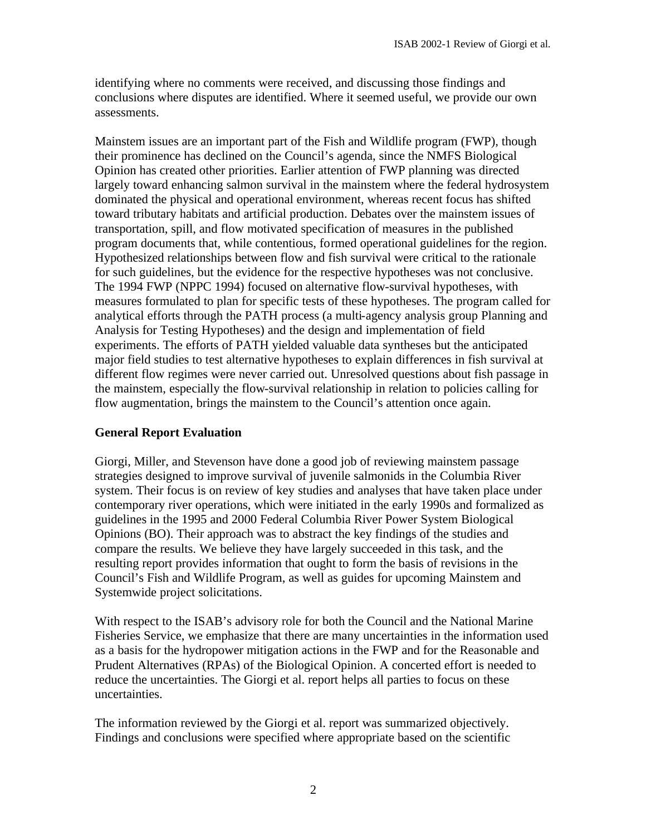identifying where no comments were received, and discussing those findings and conclusions where disputes are identified. Where it seemed useful, we provide our own assessments.

Mainstem issues are an important part of the Fish and Wildlife program (FWP), though their prominence has declined on the Council's agenda, since the NMFS Biological Opinion has created other priorities. Earlier attention of FWP planning was directed largely toward enhancing salmon survival in the mainstem where the federal hydrosystem dominated the physical and operational environment, whereas recent focus has shifted toward tributary habitats and artificial production. Debates over the mainstem issues of transportation, spill, and flow motivated specification of measures in the published program documents that, while contentious, formed operational guidelines for the region. Hypothesized relationships between flow and fish survival were critical to the rationale for such guidelines, but the evidence for the respective hypotheses was not conclusive. The 1994 FWP (NPPC 1994) focused on alternative flow-survival hypotheses, with measures formulated to plan for specific tests of these hypotheses. The program called for analytical efforts through the PATH process (a multi-agency analysis group Planning and Analysis for Testing Hypotheses) and the design and implementation of field experiments. The efforts of PATH yielded valuable data syntheses but the anticipated major field studies to test alternative hypotheses to explain differences in fish survival at different flow regimes were never carried out. Unresolved questions about fish passage in the mainstem, especially the flow-survival relationship in relation to policies calling for flow augmentation, brings the mainstem to the Council's attention once again.

# **General Report Evaluation**

Giorgi, Miller, and Stevenson have done a good job of reviewing mainstem passage strategies designed to improve survival of juvenile salmonids in the Columbia River system. Their focus is on review of key studies and analyses that have taken place under contemporary river operations, which were initiated in the early 1990s and formalized as guidelines in the 1995 and 2000 Federal Columbia River Power System Biological Opinions (BO). Their approach was to abstract the key findings of the studies and compare the results. We believe they have largely succeeded in this task, and the resulting report provides information that ought to form the basis of revisions in the Council's Fish and Wildlife Program, as well as guides for upcoming Mainstem and Systemwide project solicitations.

With respect to the ISAB's advisory role for both the Council and the National Marine Fisheries Service, we emphasize that there are many uncertainties in the information used as a basis for the hydropower mitigation actions in the FWP and for the Reasonable and Prudent Alternatives (RPAs) of the Biological Opinion. A concerted effort is needed to reduce the uncertainties. The Giorgi et al. report helps all parties to focus on these uncertainties.

The information reviewed by the Giorgi et al. report was summarized objectively. Findings and conclusions were specified where appropriate based on the scientific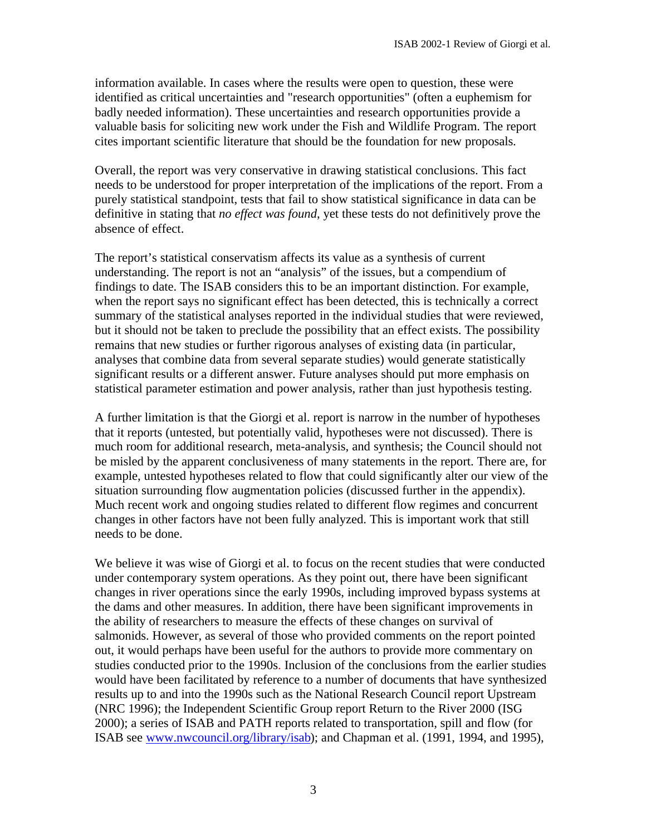information available. In cases where the results were open to question, these were identified as critical uncertainties and "research opportunities" (often a euphemism for badly needed information). These uncertainties and research opportunities provide a valuable basis for soliciting new work under the Fish and Wildlife Program. The report cites important scientific literature that should be the foundation for new proposals.

Overall, the report was very conservative in drawing statistical conclusions. This fact needs to be understood for proper interpretation of the implications of the report. From a purely statistical standpoint, tests that fail to show statistical significance in data can be definitive in stating that *no effect was found*, yet these tests do not definitively prove the absence of effect.

The report's statistical conservatism affects its value as a synthesis of current understanding. The report is not an "analysis" of the issues, but a compendium of findings to date. The ISAB considers this to be an important distinction. For example, when the report says no significant effect has been detected, this is technically a correct summary of the statistical analyses reported in the individual studies that were reviewed, but it should not be taken to preclude the possibility that an effect exists. The possibility remains that new studies or further rigorous analyses of existing data (in particular, analyses that combine data from several separate studies) would generate statistically significant results or a different answer. Future analyses should put more emphasis on statistical parameter estimation and power analysis, rather than just hypothesis testing.

A further limitation is that the Giorgi et al. report is narrow in the number of hypotheses that it reports (untested, but potentially valid, hypotheses were not discussed). There is much room for additional research, meta-analysis, and synthesis; the Council should not be misled by the apparent conclusiveness of many statements in the report. There are, for example, untested hypotheses related to flow that could significantly alter our view of the situation surrounding flow augmentation policies (discussed further in the appendix). Much recent work and ongoing studies related to different flow regimes and concurrent changes in other factors have not been fully analyzed. This is important work that still needs to be done.

We believe it was wise of Giorgi et al. to focus on the recent studies that were conducted under contemporary system operations. As they point out, there have been significant changes in river operations since the early 1990s, including improved bypass systems at the dams and other measures. In addition, there have been significant improvements in the ability of researchers to measure the effects of these changes on survival of salmonids. However, as several of those who provided comments on the report pointed out, it would perhaps have been useful for the authors to provide more commentary on studies conducted prior to the 1990s. Inclusion of the conclusions from the earlier studies would have been facilitated by reference to a number of documents that have synthesized results up to and into the 1990s such as the National Research Council report Upstream (NRC 1996); the Independent Scientific Group report Return to the River 2000 (ISG 2000); a series of ISAB and PATH reports related to transportation, spill and flow (for ISAB see www.nwcouncil.org/library/isab); and Chapman et al. (1991, 1994, and 1995),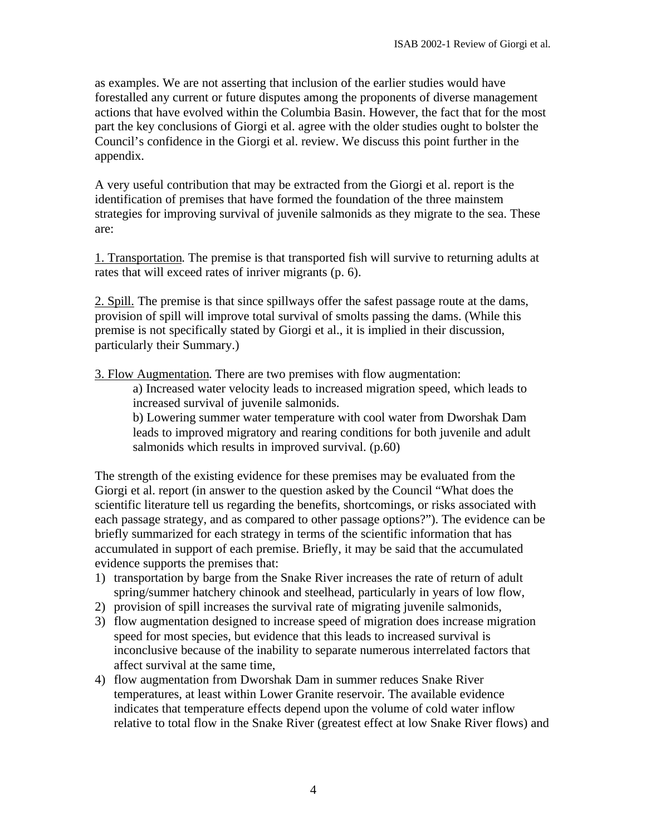as examples. We are not asserting that inclusion of the earlier studies would have forestalled any current or future disputes among the proponents of diverse management actions that have evolved within the Columbia Basin. However, the fact that for the most part the key conclusions of Giorgi et al. agree with the older studies ought to bolster the Council's confidence in the Giorgi et al. review. We discuss this point further in the appendix.

A very useful contribution that may be extracted from the Giorgi et al. report is the identification of premises that have formed the foundation of the three mainstem strategies for improving survival of juvenile salmonids as they migrate to the sea. These are:

1. Transportation. The premise is that transported fish will survive to returning adults at rates that will exceed rates of inriver migrants (p. 6).

2. Spill. The premise is that since spillways offer the safest passage route at the dams, provision of spill will improve total survival of smolts passing the dams. (While this premise is not specifically stated by Giorgi et al., it is implied in their discussion, particularly their Summary.)

3. Flow Augmentation. There are two premises with flow augmentation:

a) Increased water velocity leads to increased migration speed, which leads to increased survival of juvenile salmonids.

b) Lowering summer water temperature with cool water from Dworshak Dam leads to improved migratory and rearing conditions for both juvenile and adult salmonids which results in improved survival. (p.60)

The strength of the existing evidence for these premises may be evaluated from the Giorgi et al. report (in answer to the question asked by the Council "What does the scientific literature tell us regarding the benefits, shortcomings, or risks associated with each passage strategy, and as compared to other passage options?"). The evidence can be briefly summarized for each strategy in terms of the scientific information that has accumulated in support of each premise. Briefly, it may be said that the accumulated evidence supports the premises that:

- 1) transportation by barge from the Snake River increases the rate of return of adult spring/summer hatchery chinook and steelhead, particularly in years of low flow,
- 2) provision of spill increases the survival rate of migrating juvenile salmonids,
- 3) flow augmentation designed to increase speed of migration does increase migration speed for most species, but evidence that this leads to increased survival is inconclusive because of the inability to separate numerous interrelated factors that affect survival at the same time,
- 4) flow augmentation from Dworshak Dam in summer reduces Snake River temperatures, at least within Lower Granite reservoir. The available evidence indicates that temperature effects depend upon the volume of cold water inflow relative to total flow in the Snake River (greatest effect at low Snake River flows) and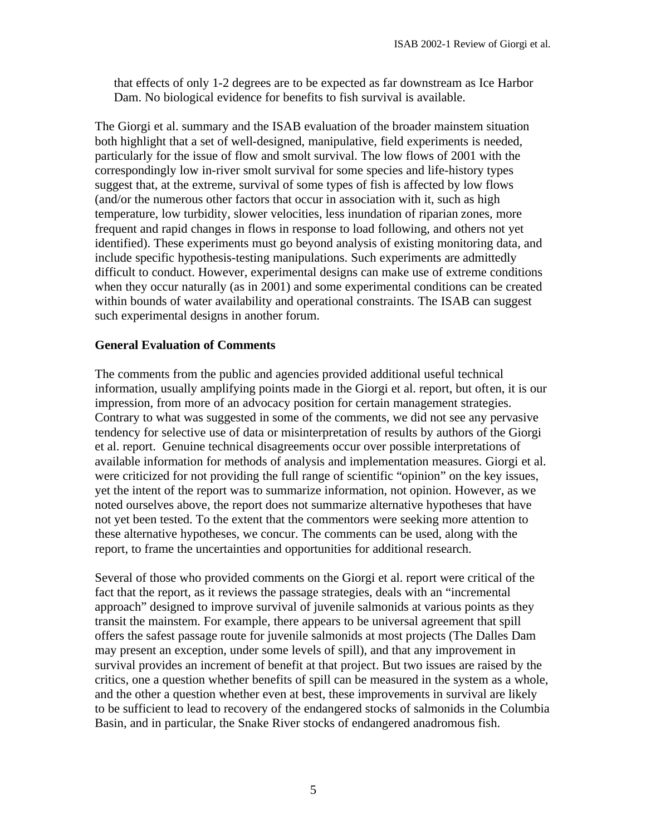that effects of only 1-2 degrees are to be expected as far downstream as Ice Harbor Dam. No biological evidence for benefits to fish survival is available.

The Giorgi et al. summary and the ISAB evaluation of the broader mainstem situation both highlight that a set of well-designed, manipulative, field experiments is needed, particularly for the issue of flow and smolt survival. The low flows of 2001 with the correspondingly low in-river smolt survival for some species and life-history types suggest that, at the extreme, survival of some types of fish is affected by low flows (and/or the numerous other factors that occur in association with it, such as high temperature, low turbidity, slower velocities, less inundation of riparian zones, more frequent and rapid changes in flows in response to load following, and others not yet identified). These experiments must go beyond analysis of existing monitoring data, and include specific hypothesis-testing manipulations. Such experiments are admittedly difficult to conduct. However, experimental designs can make use of extreme conditions when they occur naturally (as in 2001) and some experimental conditions can be created within bounds of water availability and operational constraints. The ISAB can suggest such experimental designs in another forum.

# **General Evaluation of Comments**

The comments from the public and agencies provided additional useful technical information, usually amplifying points made in the Giorgi et al. report, but often, it is our impression, from more of an advocacy position for certain management strategies. Contrary to what was suggested in some of the comments, we did not see any pervasive tendency for selective use of data or misinterpretation of results by authors of the Giorgi et al. report. Genuine technical disagreements occur over possible interpretations of available information for methods of analysis and implementation measures. Giorgi et al. were criticized for not providing the full range of scientific "opinion" on the key issues, yet the intent of the report was to summarize information, not opinion. However, as we noted ourselves above, the report does not summarize alternative hypotheses that have not yet been tested. To the extent that the commentors were seeking more attention to these alternative hypotheses, we concur. The comments can be used, along with the report, to frame the uncertainties and opportunities for additional research.

Several of those who provided comments on the Giorgi et al. report were critical of the fact that the report, as it reviews the passage strategies, deals with an "incremental approach" designed to improve survival of juvenile salmonids at various points as they transit the mainstem. For example, there appears to be universal agreement that spill offers the safest passage route for juvenile salmonids at most projects (The Dalles Dam may present an exception, under some levels of spill), and that any improvement in survival provides an increment of benefit at that project. But two issues are raised by the critics, one a question whether benefits of spill can be measured in the system as a whole, and the other a question whether even at best, these improvements in survival are likely to be sufficient to lead to recovery of the endangered stocks of salmonids in the Columbia Basin, and in particular, the Snake River stocks of endangered anadromous fish.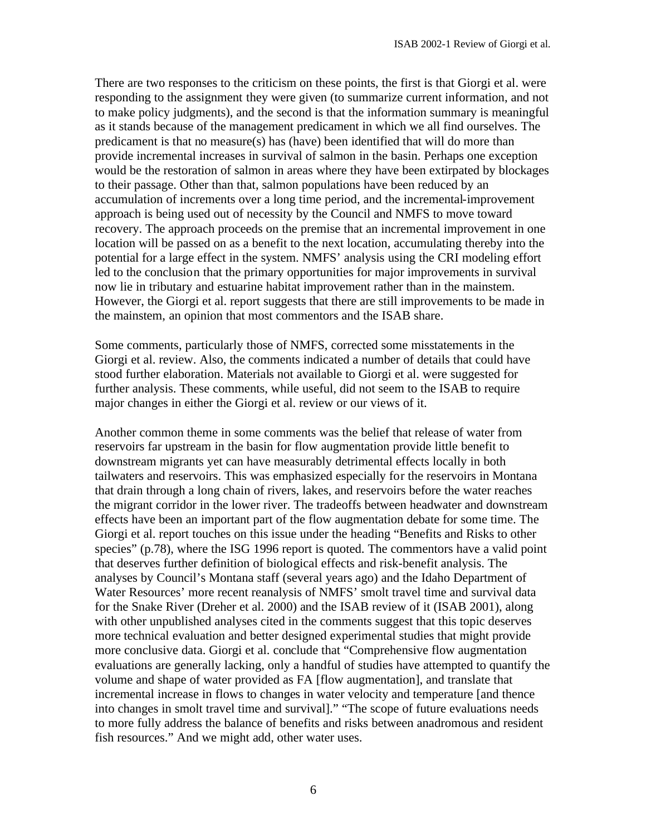There are two responses to the criticism on these points, the first is that Giorgi et al. were responding to the assignment they were given (to summarize current information, and not to make policy judgments), and the second is that the information summary is meaningful as it stands because of the management predicament in which we all find ourselves. The predicament is that no measure(s) has (have) been identified that will do more than provide incremental increases in survival of salmon in the basin. Perhaps one exception would be the restoration of salmon in areas where they have been extirpated by blockages to their passage. Other than that, salmon populations have been reduced by an accumulation of increments over a long time period, and the incremental-improvement approach is being used out of necessity by the Council and NMFS to move toward recovery. The approach proceeds on the premise that an incremental improvement in one location will be passed on as a benefit to the next location, accumulating thereby into the potential for a large effect in the system. NMFS' analysis using the CRI modeling effort led to the conclusion that the primary opportunities for major improvements in survival now lie in tributary and estuarine habitat improvement rather than in the mainstem. However, the Giorgi et al. report suggests that there are still improvements to be made in the mainstem, an opinion that most commentors and the ISAB share.

Some comments, particularly those of NMFS, corrected some misstatements in the Giorgi et al. review. Also, the comments indicated a number of details that could have stood further elaboration. Materials not available to Giorgi et al. were suggested for further analysis. These comments, while useful, did not seem to the ISAB to require major changes in either the Giorgi et al. review or our views of it.

Another common theme in some comments was the belief that release of water from reservoirs far upstream in the basin for flow augmentation provide little benefit to downstream migrants yet can have measurably detrimental effects locally in both tailwaters and reservoirs. This was emphasized especially for the reservoirs in Montana that drain through a long chain of rivers, lakes, and reservoirs before the water reaches the migrant corridor in the lower river. The tradeoffs between headwater and downstream effects have been an important part of the flow augmentation debate for some time. The Giorgi et al. report touches on this issue under the heading "Benefits and Risks to other species" (p.78), where the ISG 1996 report is quoted. The commentors have a valid point that deserves further definition of biological effects and risk-benefit analysis. The analyses by Council's Montana staff (several years ago) and the Idaho Department of Water Resources' more recent reanalysis of NMFS' smolt travel time and survival data for the Snake River (Dreher et al. 2000) and the ISAB review of it (ISAB 2001), along with other unpublished analyses cited in the comments suggest that this topic deserves more technical evaluation and better designed experimental studies that might provide more conclusive data. Giorgi et al. conclude that "Comprehensive flow augmentation evaluations are generally lacking, only a handful of studies have attempted to quantify the volume and shape of water provided as FA [flow augmentation], and translate that incremental increase in flows to changes in water velocity and temperature [and thence into changes in smolt travel time and survival]." "The scope of future evaluations needs to more fully address the balance of benefits and risks between anadromous and resident fish resources." And we might add, other water uses.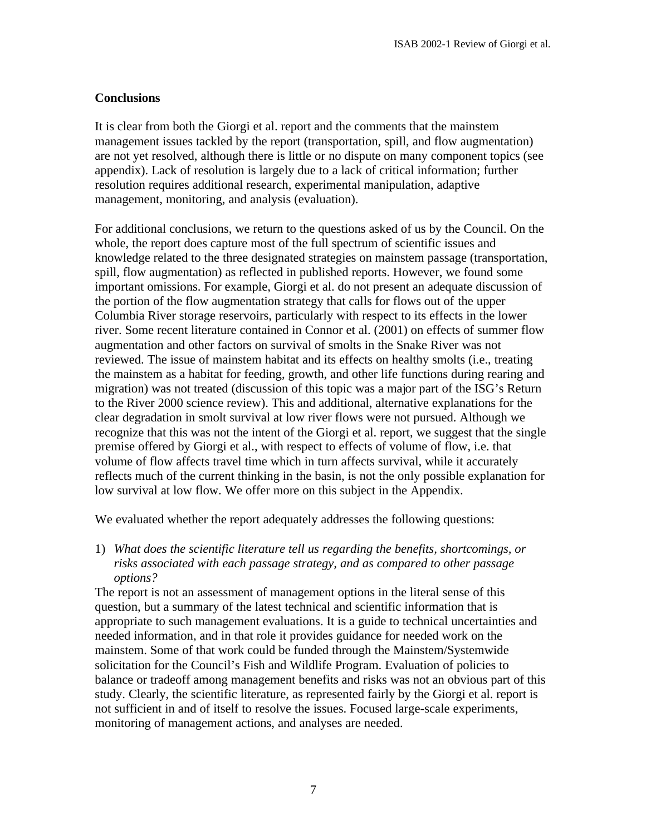# **Conclusions**

It is clear from both the Giorgi et al. report and the comments that the mainstem management issues tackled by the report (transportation, spill, and flow augmentation) are not yet resolved, although there is little or no dispute on many component topics (see appendix). Lack of resolution is largely due to a lack of critical information; further resolution requires additional research, experimental manipulation, adaptive management, monitoring, and analysis (evaluation).

For additional conclusions, we return to the questions asked of us by the Council. On the whole, the report does capture most of the full spectrum of scientific issues and knowledge related to the three designated strategies on mainstem passage (transportation, spill, flow augmentation) as reflected in published reports. However, we found some important omissions. For example, Giorgi et al. do not present an adequate discussion of the portion of the flow augmentation strategy that calls for flows out of the upper Columbia River storage reservoirs, particularly with respect to its effects in the lower river. Some recent literature contained in Connor et al. (2001) on effects of summer flow augmentation and other factors on survival of smolts in the Snake River was not reviewed. The issue of mainstem habitat and its effects on healthy smolts (i.e., treating the mainstem as a habitat for feeding, growth, and other life functions during rearing and migration) was not treated (discussion of this topic was a major part of the ISG's Return to the River 2000 science review). This and additional, alternative explanations for the clear degradation in smolt survival at low river flows were not pursued. Although we recognize that this was not the intent of the Giorgi et al. report, we suggest that the single premise offered by Giorgi et al., with respect to effects of volume of flow, i.e. that volume of flow affects travel time which in turn affects survival, while it accurately reflects much of the current thinking in the basin, is not the only possible explanation for low survival at low flow. We offer more on this subject in the Appendix.

We evaluated whether the report adequately addresses the following questions:

1) *What does the scientific literature tell us regarding the benefits, shortcomings, or risks associated with each passage strategy, and as compared to other passage options?*

The report is not an assessment of management options in the literal sense of this question, but a summary of the latest technical and scientific information that is appropriate to such management evaluations. It is a guide to technical uncertainties and needed information, and in that role it provides guidance for needed work on the mainstem. Some of that work could be funded through the Mainstem/Systemwide solicitation for the Council's Fish and Wildlife Program. Evaluation of policies to balance or tradeoff among management benefits and risks was not an obvious part of this study. Clearly, the scientific literature, as represented fairly by the Giorgi et al. report is not sufficient in and of itself to resolve the issues. Focused large-scale experiments, monitoring of management actions, and analyses are needed.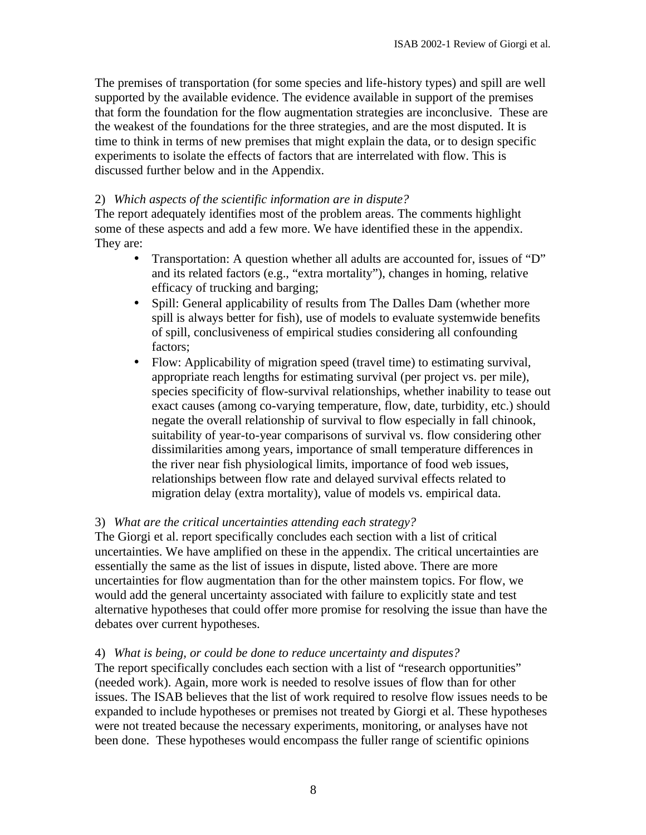The premises of transportation (for some species and life-history types) and spill are well supported by the available evidence. The evidence available in support of the premises that form the foundation for the flow augmentation strategies are inconclusive. These are the weakest of the foundations for the three strategies, and are the most disputed. It is time to think in terms of new premises that might explain the data, or to design specific experiments to isolate the effects of factors that are interrelated with flow. This is discussed further below and in the Appendix.

#### 2) *Which aspects of the scientific information are in dispute?*

The report adequately identifies most of the problem areas. The comments highlight some of these aspects and add a few more. We have identified these in the appendix. They are:

- Transportation: A question whether all adults are accounted for, issues of "D" and its related factors (e.g., "extra mortality"), changes in homing, relative efficacy of trucking and barging;
- Spill: General applicability of results from The Dalles Dam (whether more spill is always better for fish), use of models to evaluate systemwide benefits of spill, conclusiveness of empirical studies considering all confounding factors;
- Flow: Applicability of migration speed (travel time) to estimating survival, appropriate reach lengths for estimating survival (per project vs. per mile), species specificity of flow-survival relationships, whether inability to tease out exact causes (among co-varying temperature, flow, date, turbidity, etc.) should negate the overall relationship of survival to flow especially in fall chinook, suitability of year-to-year comparisons of survival vs. flow considering other dissimilarities among years, importance of small temperature differences in the river near fish physiological limits, importance of food web issues, relationships between flow rate and delayed survival effects related to migration delay (extra mortality), value of models vs. empirical data.

#### 3) *What are the critical uncertainties attending each strategy?*

The Giorgi et al. report specifically concludes each section with a list of critical uncertainties. We have amplified on these in the appendix. The critical uncertainties are essentially the same as the list of issues in dispute, listed above. There are more uncertainties for flow augmentation than for the other mainstem topics. For flow, we would add the general uncertainty associated with failure to explicitly state and test alternative hypotheses that could offer more promise for resolving the issue than have the debates over current hypotheses.

#### 4) *What is being, or could be done to reduce uncertainty and disputes?*

The report specifically concludes each section with a list of "research opportunities" (needed work). Again, more work is needed to resolve issues of flow than for other issues. The ISAB believes that the list of work required to resolve flow issues needs to be expanded to include hypotheses or premises not treated by Giorgi et al. These hypotheses were not treated because the necessary experiments, monitoring, or analyses have not been done. These hypotheses would encompass the fuller range of scientific opinions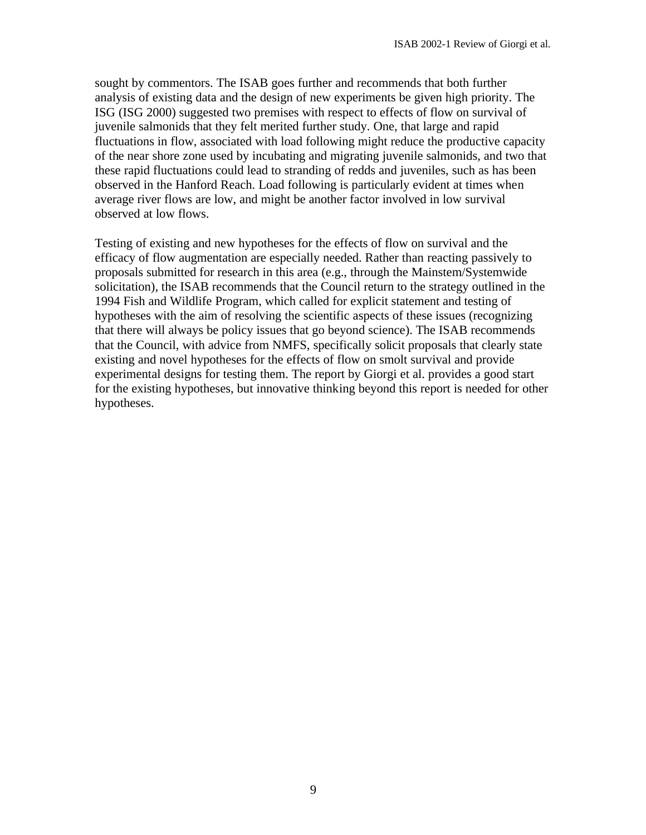sought by commentors. The ISAB goes further and recommends that both further analysis of existing data and the design of new experiments be given high priority. The ISG (ISG 2000) suggested two premises with respect to effects of flow on survival of juvenile salmonids that they felt merited further study. One, that large and rapid fluctuations in flow, associated with load following might reduce the productive capacity of the near shore zone used by incubating and migrating juvenile salmonids, and two that these rapid fluctuations could lead to stranding of redds and juveniles, such as has been observed in the Hanford Reach. Load following is particularly evident at times when average river flows are low, and might be another factor involved in low survival observed at low flows.

Testing of existing and new hypotheses for the effects of flow on survival and the efficacy of flow augmentation are especially needed. Rather than reacting passively to proposals submitted for research in this area (e.g., through the Mainstem/Systemwide solicitation), the ISAB recommends that the Council return to the strategy outlined in the 1994 Fish and Wildlife Program, which called for explicit statement and testing of hypotheses with the aim of resolving the scientific aspects of these issues (recognizing that there will always be policy issues that go beyond science). The ISAB recommends that the Council, with advice from NMFS, specifically solicit proposals that clearly state existing and novel hypotheses for the effects of flow on smolt survival and provide experimental designs for testing them. The report by Giorgi et al. provides a good start for the existing hypotheses, but innovative thinking beyond this report is needed for other hypotheses.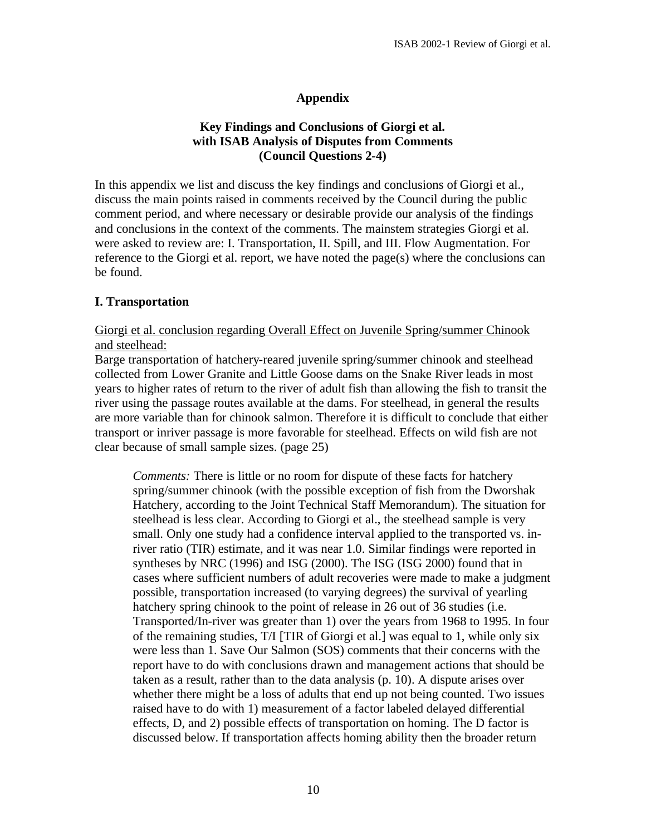# **Appendix**

# **Key Findings and Conclusions of Giorgi et al. with ISAB Analysis of Disputes from Comments (Council Questions 2-4)**

In this appendix we list and discuss the key findings and conclusions of Giorgi et al., discuss the main points raised in comments received by the Council during the public comment period, and where necessary or desirable provide our analysis of the findings and conclusions in the context of the comments. The mainstem strategies Giorgi et al. were asked to review are: I. Transportation, II. Spill, and III. Flow Augmentation. For reference to the Giorgi et al. report, we have noted the page(s) where the conclusions can be found.

# **I. Transportation**

# Giorgi et al. conclusion regarding Overall Effect on Juvenile Spring/summer Chinook and steelhead:

Barge transportation of hatchery-reared juvenile spring/summer chinook and steelhead collected from Lower Granite and Little Goose dams on the Snake River leads in most years to higher rates of return to the river of adult fish than allowing the fish to transit the river using the passage routes available at the dams. For steelhead, in general the results are more variable than for chinook salmon. Therefore it is difficult to conclude that either transport or inriver passage is more favorable for steelhead. Effects on wild fish are not clear because of small sample sizes. (page 25)

*Comments:* There is little or no room for dispute of these facts for hatchery spring/summer chinook (with the possible exception of fish from the Dworshak Hatchery, according to the Joint Technical Staff Memorandum). The situation for steelhead is less clear. According to Giorgi et al., the steelhead sample is very small. Only one study had a confidence interval applied to the transported vs. inriver ratio (TIR) estimate, and it was near 1.0. Similar findings were reported in syntheses by NRC (1996) and ISG (2000). The ISG (ISG 2000) found that in cases where sufficient numbers of adult recoveries were made to make a judgment possible, transportation increased (to varying degrees) the survival of yearling hatchery spring chinook to the point of release in 26 out of 36 studies (i.e. Transported/In-river was greater than 1) over the years from 1968 to 1995. In four of the remaining studies, T/I [TIR of Giorgi et al.] was equal to 1, while only six were less than 1. Save Our Salmon (SOS) comments that their concerns with the report have to do with conclusions drawn and management actions that should be taken as a result, rather than to the data analysis (p. 10). A dispute arises over whether there might be a loss of adults that end up not being counted. Two issues raised have to do with 1) measurement of a factor labeled delayed differential effects, D, and 2) possible effects of transportation on homing. The D factor is discussed below. If transportation affects homing ability then the broader return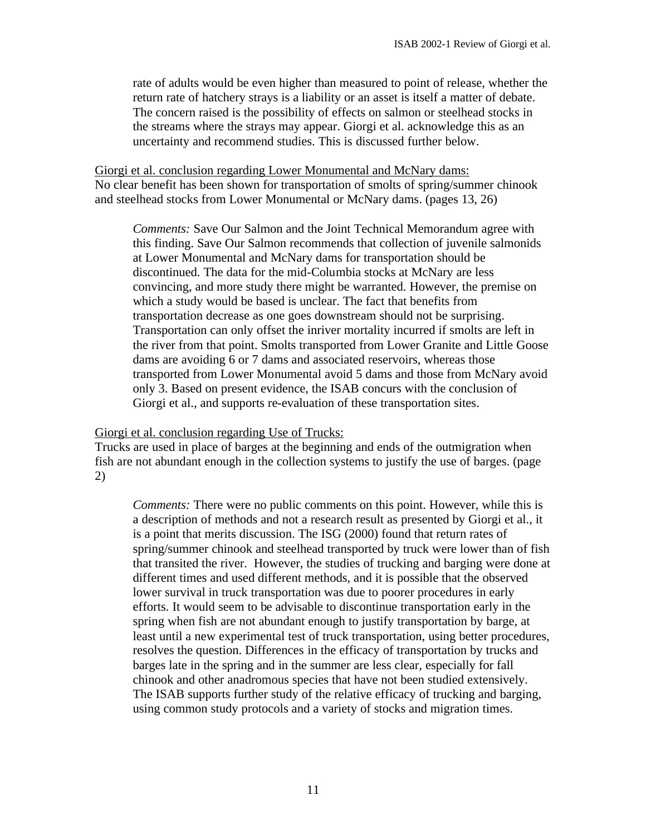rate of adults would be even higher than measured to point of release, whether the return rate of hatchery strays is a liability or an asset is itself a matter of debate. The concern raised is the possibility of effects on salmon or steelhead stocks in the streams where the strays may appear. Giorgi et al. acknowledge this as an uncertainty and recommend studies. This is discussed further below.

Giorgi et al. conclusion regarding Lower Monumental and McNary dams: No clear benefit has been shown for transportation of smolts of spring/summer chinook and steelhead stocks from Lower Monumental or McNary dams. (pages 13, 26)

*Comments:* Save Our Salmon and the Joint Technical Memorandum agree with this finding. Save Our Salmon recommends that collection of juvenile salmonids at Lower Monumental and McNary dams for transportation should be discontinued. The data for the mid-Columbia stocks at McNary are less convincing, and more study there might be warranted. However, the premise on which a study would be based is unclear. The fact that benefits from transportation decrease as one goes downstream should not be surprising. Transportation can only offset the inriver mortality incurred if smolts are left in the river from that point. Smolts transported from Lower Granite and Little Goose dams are avoiding 6 or 7 dams and associated reservoirs, whereas those transported from Lower Monumental avoid 5 dams and those from McNary avoid only 3. Based on present evidence, the ISAB concurs with the conclusion of Giorgi et al., and supports re-evaluation of these transportation sites.

Giorgi et al. conclusion regarding Use of Trucks:

Trucks are used in place of barges at the beginning and ends of the outmigration when fish are not abundant enough in the collection systems to justify the use of barges. (page 2)

*Comments:* There were no public comments on this point. However, while this is a description of methods and not a research result as presented by Giorgi et al., it is a point that merits discussion. The ISG (2000) found that return rates of spring/summer chinook and steelhead transported by truck were lower than of fish that transited the river. However, the studies of trucking and barging were done at different times and used different methods, and it is possible that the observed lower survival in truck transportation was due to poorer procedures in early efforts. It would seem to be advisable to discontinue transportation early in the spring when fish are not abundant enough to justify transportation by barge, at least until a new experimental test of truck transportation, using better procedures, resolves the question. Differences in the efficacy of transportation by trucks and barges late in the spring and in the summer are less clear, especially for fall chinook and other anadromous species that have not been studied extensively. The ISAB supports further study of the relative efficacy of trucking and barging, using common study protocols and a variety of stocks and migration times.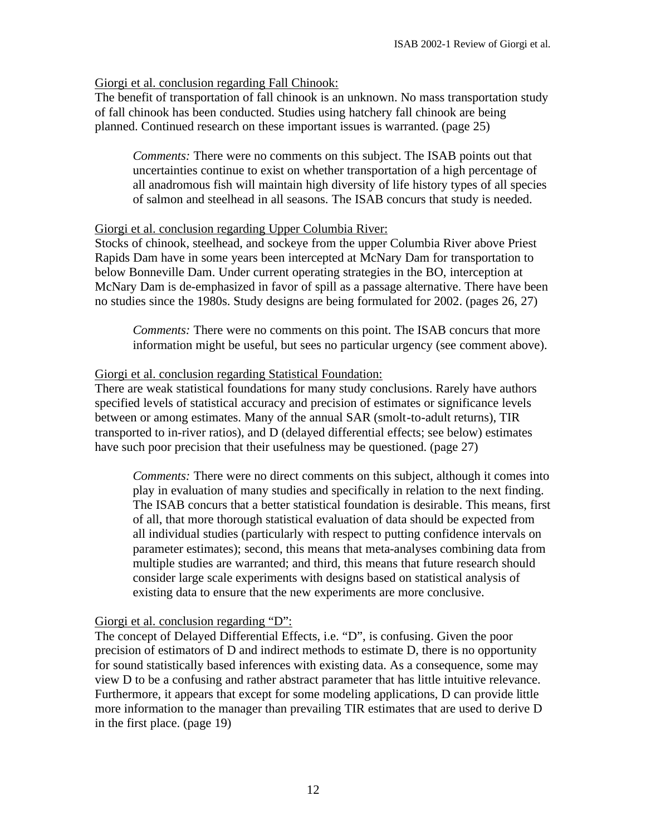#### Giorgi et al. conclusion regarding Fall Chinook:

The benefit of transportation of fall chinook is an unknown. No mass transportation study of fall chinook has been conducted. Studies using hatchery fall chinook are being planned. Continued research on these important issues is warranted. (page 25)

*Comments:* There were no comments on this subject. The ISAB points out that uncertainties continue to exist on whether transportation of a high percentage of all anadromous fish will maintain high diversity of life history types of all species of salmon and steelhead in all seasons. The ISAB concurs that study is needed.

#### Giorgi et al. conclusion regarding Upper Columbia River:

Stocks of chinook, steelhead, and sockeye from the upper Columbia River above Priest Rapids Dam have in some years been intercepted at McNary Dam for transportation to below Bonneville Dam. Under current operating strategies in the BO, interception at McNary Dam is de-emphasized in favor of spill as a passage alternative. There have been no studies since the 1980s. Study designs are being formulated for 2002. (pages 26, 27)

*Comments:* There were no comments on this point. The ISAB concurs that more information might be useful, but sees no particular urgency (see comment above).

# Giorgi et al. conclusion regarding Statistical Foundation:

There are weak statistical foundations for many study conclusions. Rarely have authors specified levels of statistical accuracy and precision of estimates or significance levels between or among estimates. Many of the annual SAR (smolt-to-adult returns), TIR transported to in-river ratios), and D (delayed differential effects; see below) estimates have such poor precision that their usefulness may be questioned. (page 27)

*Comments:* There were no direct comments on this subject, although it comes into play in evaluation of many studies and specifically in relation to the next finding. The ISAB concurs that a better statistical foundation is desirable. This means, first of all, that more thorough statistical evaluation of data should be expected from all individual studies (particularly with respect to putting confidence intervals on parameter estimates); second, this means that meta-analyses combining data from multiple studies are warranted; and third, this means that future research should consider large scale experiments with designs based on statistical analysis of existing data to ensure that the new experiments are more conclusive.

#### Giorgi et al. conclusion regarding "D":

The concept of Delayed Differential Effects, i.e. "D", is confusing. Given the poor precision of estimators of D and indirect methods to estimate D, there is no opportunity for sound statistically based inferences with existing data. As a consequence, some may view D to be a confusing and rather abstract parameter that has little intuitive relevance. Furthermore, it appears that except for some modeling applications, D can provide little more information to the manager than prevailing TIR estimates that are used to derive D in the first place. (page 19)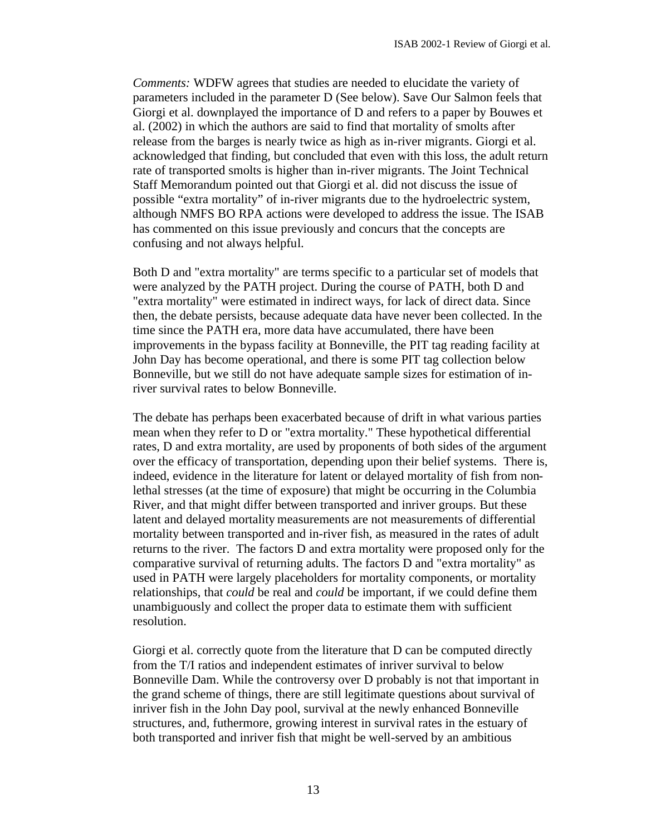*Comments:* WDFW agrees that studies are needed to elucidate the variety of parameters included in the parameter D (See below). Save Our Salmon feels that Giorgi et al. downplayed the importance of D and refers to a paper by Bouwes et al. (2002) in which the authors are said to find that mortality of smolts after release from the barges is nearly twice as high as in-river migrants. Giorgi et al. acknowledged that finding, but concluded that even with this loss, the adult return rate of transported smolts is higher than in-river migrants. The Joint Technical Staff Memorandum pointed out that Giorgi et al. did not discuss the issue of possible "extra mortality" of in-river migrants due to the hydroelectric system, although NMFS BO RPA actions were developed to address the issue. The ISAB has commented on this issue previously and concurs that the concepts are confusing and not always helpful.

Both D and "extra mortality" are terms specific to a particular set of models that were analyzed by the PATH project. During the course of PATH, both D and "extra mortality" were estimated in indirect ways, for lack of direct data. Since then, the debate persists, because adequate data have never been collected. In the time since the PATH era, more data have accumulated, there have been improvements in the bypass facility at Bonneville, the PIT tag reading facility at John Day has become operational, and there is some PIT tag collection below Bonneville, but we still do not have adequate sample sizes for estimation of inriver survival rates to below Bonneville.

The debate has perhaps been exacerbated because of drift in what various parties mean when they refer to D or "extra mortality." These hypothetical differential rates, D and extra mortality, are used by proponents of both sides of the argument over the efficacy of transportation, depending upon their belief systems. There is, indeed, evidence in the literature for latent or delayed mortality of fish from nonlethal stresses (at the time of exposure) that might be occurring in the Columbia River, and that might differ between transported and inriver groups. But these latent and delayed mortality measurements are not measurements of differential mortality between transported and in-river fish, as measured in the rates of adult returns to the river. The factors D and extra mortality were proposed only for the comparative survival of returning adults. The factors D and "extra mortality" as used in PATH were largely placeholders for mortality components, or mortality relationships, that *could* be real and *could* be important, if we could define them unambiguously and collect the proper data to estimate them with sufficient resolution.

Giorgi et al. correctly quote from the literature that D can be computed directly from the T/I ratios and independent estimates of inriver survival to below Bonneville Dam. While the controversy over D probably is not that important in the grand scheme of things, there are still legitimate questions about survival of inriver fish in the John Day pool, survival at the newly enhanced Bonneville structures, and, futhermore, growing interest in survival rates in the estuary of both transported and inriver fish that might be well-served by an ambitious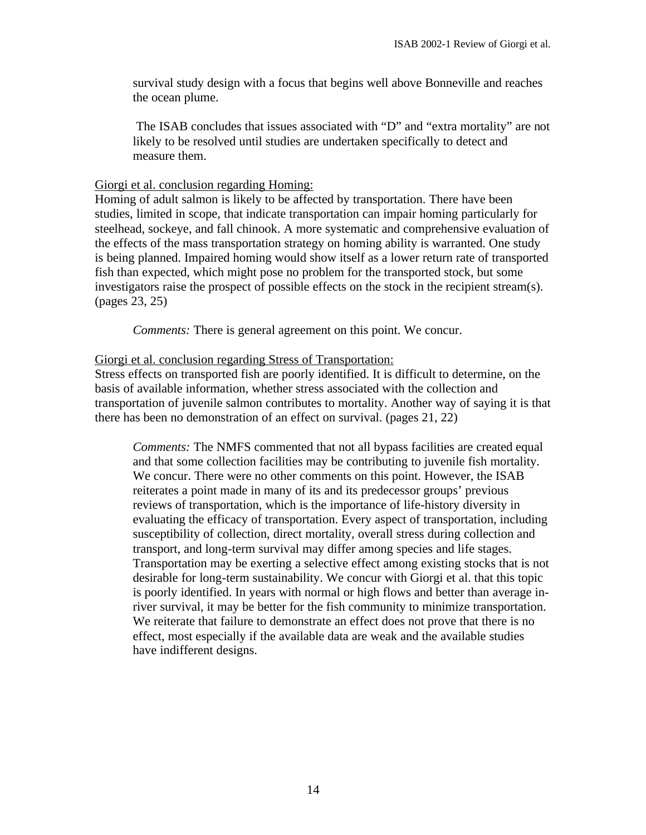survival study design with a focus that begins well above Bonneville and reaches the ocean plume.

 The ISAB concludes that issues associated with "D" and "extra mortality" are not likely to be resolved until studies are undertaken specifically to detect and measure them.

# Giorgi et al. conclusion regarding Homing:

Homing of adult salmon is likely to be affected by transportation. There have been studies, limited in scope, that indicate transportation can impair homing particularly for steelhead, sockeye, and fall chinook. A more systematic and comprehensive evaluation of the effects of the mass transportation strategy on homing ability is warranted. One study is being planned. Impaired homing would show itself as a lower return rate of transported fish than expected, which might pose no problem for the transported stock, but some investigators raise the prospect of possible effects on the stock in the recipient stream(s). (pages 23, 25)

*Comments:* There is general agreement on this point. We concur.

# Giorgi et al. conclusion regarding Stress of Transportation:

Stress effects on transported fish are poorly identified. It is difficult to determine, on the basis of available information, whether stress associated with the collection and transportation of juvenile salmon contributes to mortality. Another way of saying it is that there has been no demonstration of an effect on survival. (pages 21, 22)

*Comments:* The NMFS commented that not all bypass facilities are created equal and that some collection facilities may be contributing to juvenile fish mortality. We concur. There were no other comments on this point. However, the ISAB reiterates a point made in many of its and its predecessor groups' previous reviews of transportation, which is the importance of life-history diversity in evaluating the efficacy of transportation. Every aspect of transportation, including susceptibility of collection, direct mortality, overall stress during collection and transport, and long-term survival may differ among species and life stages. Transportation may be exerting a selective effect among existing stocks that is not desirable for long-term sustainability. We concur with Giorgi et al. that this topic is poorly identified. In years with normal or high flows and better than average inriver survival, it may be better for the fish community to minimize transportation. We reiterate that failure to demonstrate an effect does not prove that there is no effect, most especially if the available data are weak and the available studies have indifferent designs.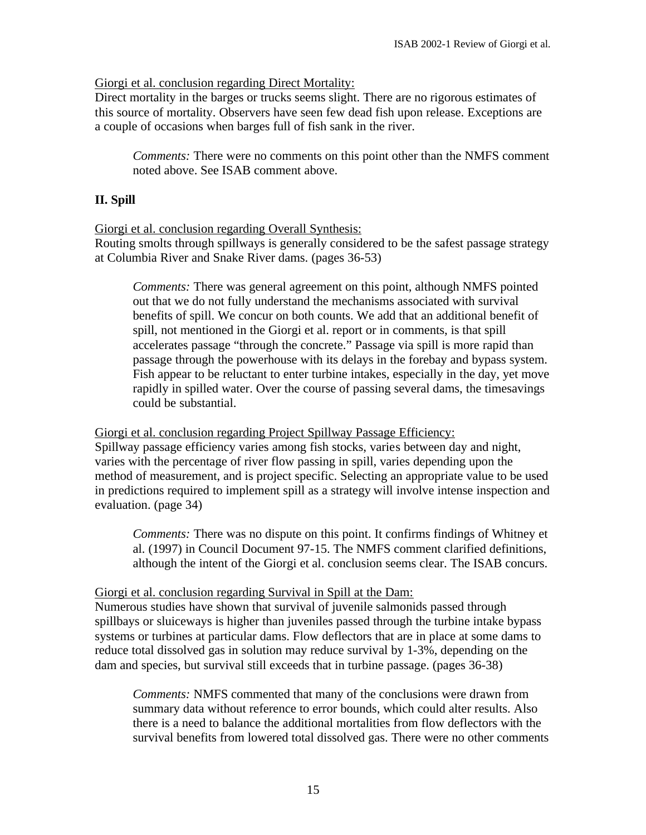# Giorgi et al. conclusion regarding Direct Mortality:

Direct mortality in the barges or trucks seems slight. There are no rigorous estimates of this source of mortality. Observers have seen few dead fish upon release. Exceptions are a couple of occasions when barges full of fish sank in the river.

*Comments:* There were no comments on this point other than the NMFS comment noted above. See ISAB comment above.

# **II. Spill**

#### Giorgi et al. conclusion regarding Overall Synthesis:

Routing smolts through spillways is generally considered to be the safest passage strategy at Columbia River and Snake River dams. (pages 36-53)

*Comments:* There was general agreement on this point, although NMFS pointed out that we do not fully understand the mechanisms associated with survival benefits of spill. We concur on both counts. We add that an additional benefit of spill, not mentioned in the Giorgi et al. report or in comments, is that spill accelerates passage "through the concrete." Passage via spill is more rapid than passage through the powerhouse with its delays in the forebay and bypass system. Fish appear to be reluctant to enter turbine intakes, especially in the day, yet move rapidly in spilled water. Over the course of passing several dams, the timesavings could be substantial.

Giorgi et al. conclusion regarding Project Spillway Passage Efficiency: Spillway passage efficiency varies among fish stocks, varies between day and night, varies with the percentage of river flow passing in spill, varies depending upon the method of measurement, and is project specific. Selecting an appropriate value to be used in predictions required to implement spill as a strategy will involve intense inspection and evaluation. (page 34)

*Comments:* There was no dispute on this point. It confirms findings of Whitney et al. (1997) in Council Document 97-15. The NMFS comment clarified definitions, although the intent of the Giorgi et al. conclusion seems clear. The ISAB concurs.

#### Giorgi et al. conclusion regarding Survival in Spill at the Dam:

Numerous studies have shown that survival of juvenile salmonids passed through spillbays or sluiceways is higher than juveniles passed through the turbine intake bypass systems or turbines at particular dams. Flow deflectors that are in place at some dams to reduce total dissolved gas in solution may reduce survival by 1-3%, depending on the dam and species, but survival still exceeds that in turbine passage. (pages 36-38)

*Comments:* NMFS commented that many of the conclusions were drawn from summary data without reference to error bounds, which could alter results. Also there is a need to balance the additional mortalities from flow deflectors with the survival benefits from lowered total dissolved gas. There were no other comments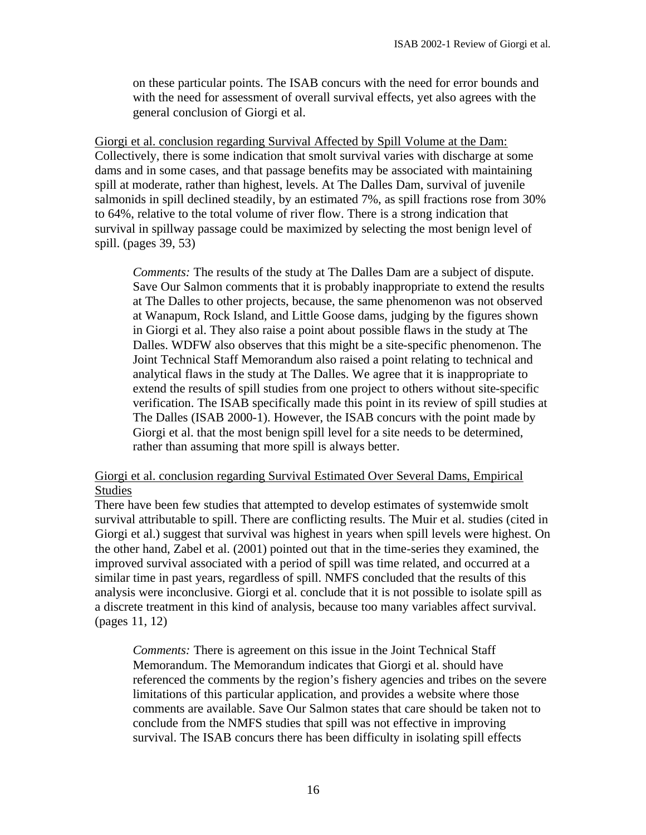on these particular points. The ISAB concurs with the need for error bounds and with the need for assessment of overall survival effects, yet also agrees with the general conclusion of Giorgi et al.

Giorgi et al. conclusion regarding Survival Affected by Spill Volume at the Dam: Collectively, there is some indication that smolt survival varies with discharge at some dams and in some cases, and that passage benefits may be associated with maintaining spill at moderate, rather than highest, levels. At The Dalles Dam, survival of juvenile salmonids in spill declined steadily, by an estimated 7%, as spill fractions rose from 30% to 64%, relative to the total volume of river flow. There is a strong indication that survival in spillway passage could be maximized by selecting the most benign level of spill. (pages 39, 53)

*Comments:* The results of the study at The Dalles Dam are a subject of dispute. Save Our Salmon comments that it is probably inappropriate to extend the results at The Dalles to other projects, because, the same phenomenon was not observed at Wanapum, Rock Island, and Little Goose dams, judging by the figures shown in Giorgi et al. They also raise a point about possible flaws in the study at The Dalles. WDFW also observes that this might be a site-specific phenomenon. The Joint Technical Staff Memorandum also raised a point relating to technical and analytical flaws in the study at The Dalles. We agree that it is inappropriate to extend the results of spill studies from one project to others without site-specific verification. The ISAB specifically made this point in its review of spill studies at The Dalles (ISAB 2000-1). However, the ISAB concurs with the point made by Giorgi et al. that the most benign spill level for a site needs to be determined, rather than assuming that more spill is always better.

# Giorgi et al. conclusion regarding Survival Estimated Over Several Dams, Empirical Studies

There have been few studies that attempted to develop estimates of systemwide smolt survival attributable to spill. There are conflicting results. The Muir et al. studies (cited in Giorgi et al.) suggest that survival was highest in years when spill levels were highest. On the other hand, Zabel et al. (2001) pointed out that in the time-series they examined, the improved survival associated with a period of spill was time related, and occurred at a similar time in past years, regardless of spill. NMFS concluded that the results of this analysis were inconclusive. Giorgi et al. conclude that it is not possible to isolate spill as a discrete treatment in this kind of analysis, because too many variables affect survival. (pages 11, 12)

*Comments:* There is agreement on this issue in the Joint Technical Staff Memorandum. The Memorandum indicates that Giorgi et al. should have referenced the comments by the region's fishery agencies and tribes on the severe limitations of this particular application, and provides a website where those comments are available. Save Our Salmon states that care should be taken not to conclude from the NMFS studies that spill was not effective in improving survival. The ISAB concurs there has been difficulty in isolating spill effects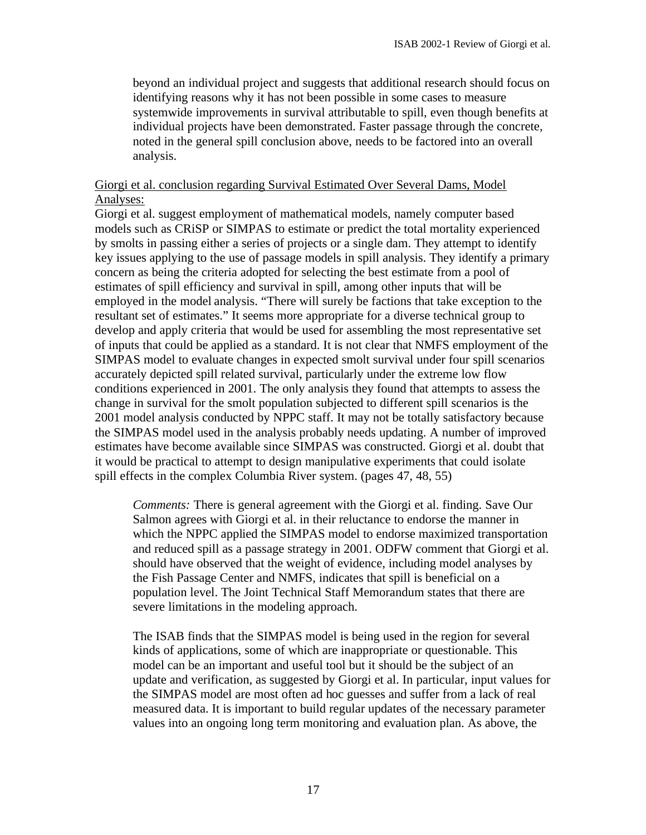beyond an individual project and suggests that additional research should focus on identifying reasons why it has not been possible in some cases to measure systemwide improvements in survival attributable to spill, even though benefits at individual projects have been demonstrated. Faster passage through the concrete, noted in the general spill conclusion above, needs to be factored into an overall analysis.

# Giorgi et al. conclusion regarding Survival Estimated Over Several Dams, Model Analyses:

Giorgi et al. suggest employment of mathematical models, namely computer based models such as CRiSP or SIMPAS to estimate or predict the total mortality experienced by smolts in passing either a series of projects or a single dam. They attempt to identify key issues applying to the use of passage models in spill analysis. They identify a primary concern as being the criteria adopted for selecting the best estimate from a pool of estimates of spill efficiency and survival in spill, among other inputs that will be employed in the model analysis. "There will surely be factions that take exception to the resultant set of estimates." It seems more appropriate for a diverse technical group to develop and apply criteria that would be used for assembling the most representative set of inputs that could be applied as a standard. It is not clear that NMFS employment of the SIMPAS model to evaluate changes in expected smolt survival under four spill scenarios accurately depicted spill related survival, particularly under the extreme low flow conditions experienced in 2001. The only analysis they found that attempts to assess the change in survival for the smolt population subjected to different spill scenarios is the 2001 model analysis conducted by NPPC staff. It may not be totally satisfactory because the SIMPAS model used in the analysis probably needs updating. A number of improved estimates have become available since SIMPAS was constructed. Giorgi et al. doubt that it would be practical to attempt to design manipulative experiments that could isolate spill effects in the complex Columbia River system. (pages 47, 48, 55)

*Comments:* There is general agreement with the Giorgi et al. finding. Save Our Salmon agrees with Giorgi et al. in their reluctance to endorse the manner in which the NPPC applied the SIMPAS model to endorse maximized transportation and reduced spill as a passage strategy in 2001. ODFW comment that Giorgi et al. should have observed that the weight of evidence, including model analyses by the Fish Passage Center and NMFS, indicates that spill is beneficial on a population level. The Joint Technical Staff Memorandum states that there are severe limitations in the modeling approach.

The ISAB finds that the SIMPAS model is being used in the region for several kinds of applications, some of which are inappropriate or questionable. This model can be an important and useful tool but it should be the subject of an update and verification, as suggested by Giorgi et al. In particular, input values for the SIMPAS model are most often ad hoc guesses and suffer from a lack of real measured data. It is important to build regular updates of the necessary parameter values into an ongoing long term monitoring and evaluation plan. As above, the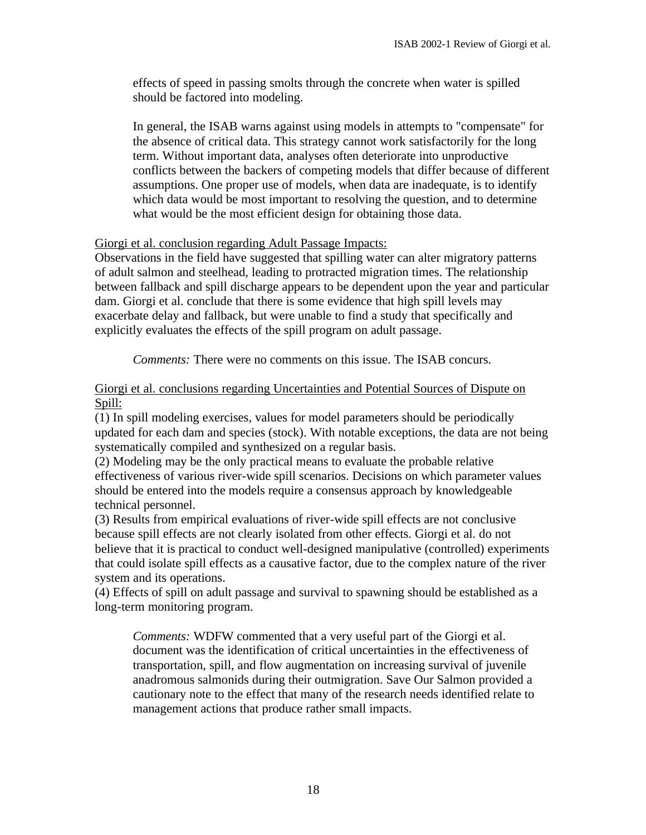effects of speed in passing smolts through the concrete when water is spilled should be factored into modeling.

In general, the ISAB warns against using models in attempts to "compensate" for the absence of critical data. This strategy cannot work satisfactorily for the long term. Without important data, analyses often deteriorate into unproductive conflicts between the backers of competing models that differ because of different assumptions. One proper use of models, when data are inadequate, is to identify which data would be most important to resolving the question, and to determine what would be the most efficient design for obtaining those data.

# Giorgi et al. conclusion regarding Adult Passage Impacts:

Observations in the field have suggested that spilling water can alter migratory patterns of adult salmon and steelhead, leading to protracted migration times. The relationship between fallback and spill discharge appears to be dependent upon the year and particular dam. Giorgi et al. conclude that there is some evidence that high spill levels may exacerbate delay and fallback, but were unable to find a study that specifically and explicitly evaluates the effects of the spill program on adult passage.

*Comments:* There were no comments on this issue. The ISAB concurs.

#### Giorgi et al. conclusions regarding Uncertainties and Potential Sources of Dispute on Spill:

(1) In spill modeling exercises, values for model parameters should be periodically updated for each dam and species (stock). With notable exceptions, the data are not being systematically compiled and synthesized on a regular basis.

(2) Modeling may be the only practical means to evaluate the probable relative effectiveness of various river-wide spill scenarios. Decisions on which parameter values should be entered into the models require a consensus approach by knowledgeable technical personnel.

(3) Results from empirical evaluations of river-wide spill effects are not conclusive because spill effects are not clearly isolated from other effects. Giorgi et al. do not believe that it is practical to conduct well-designed manipulative (controlled) experiments that could isolate spill effects as a causative factor, due to the complex nature of the river system and its operations.

(4) Effects of spill on adult passage and survival to spawning should be established as a long-term monitoring program.

*Comments:* WDFW commented that a very useful part of the Giorgi et al. document was the identification of critical uncertainties in the effectiveness of transportation, spill, and flow augmentation on increasing survival of juvenile anadromous salmonids during their outmigration. Save Our Salmon provided a cautionary note to the effect that many of the research needs identified relate to management actions that produce rather small impacts.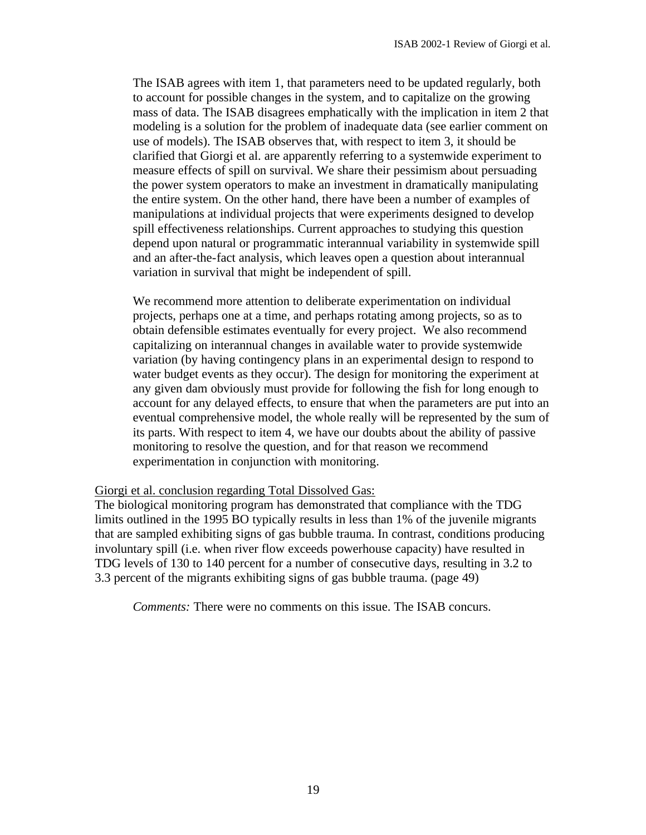The ISAB agrees with item 1, that parameters need to be updated regularly, both to account for possible changes in the system, and to capitalize on the growing mass of data. The ISAB disagrees emphatically with the implication in item 2 that modeling is a solution for the problem of inadequate data (see earlier comment on use of models). The ISAB observes that, with respect to item 3, it should be clarified that Giorgi et al. are apparently referring to a systemwide experiment to measure effects of spill on survival. We share their pessimism about persuading the power system operators to make an investment in dramatically manipulating the entire system. On the other hand, there have been a number of examples of manipulations at individual projects that were experiments designed to develop spill effectiveness relationships. Current approaches to studying this question depend upon natural or programmatic interannual variability in systemwide spill and an after-the-fact analysis, which leaves open a question about interannual variation in survival that might be independent of spill.

We recommend more attention to deliberate experimentation on individual projects, perhaps one at a time, and perhaps rotating among projects, so as to obtain defensible estimates eventually for every project. We also recommend capitalizing on interannual changes in available water to provide systemwide variation (by having contingency plans in an experimental design to respond to water budget events as they occur). The design for monitoring the experiment at any given dam obviously must provide for following the fish for long enough to account for any delayed effects, to ensure that when the parameters are put into an eventual comprehensive model, the whole really will be represented by the sum of its parts. With respect to item 4, we have our doubts about the ability of passive monitoring to resolve the question, and for that reason we recommend experimentation in conjunction with monitoring.

#### Giorgi et al. conclusion regarding Total Dissolved Gas:

The biological monitoring program has demonstrated that compliance with the TDG limits outlined in the 1995 BO typically results in less than 1% of the juvenile migrants that are sampled exhibiting signs of gas bubble trauma. In contrast, conditions producing involuntary spill (i.e. when river flow exceeds powerhouse capacity) have resulted in TDG levels of 130 to 140 percent for a number of consecutive days, resulting in 3.2 to 3.3 percent of the migrants exhibiting signs of gas bubble trauma. (page 49)

*Comments:* There were no comments on this issue. The ISAB concurs.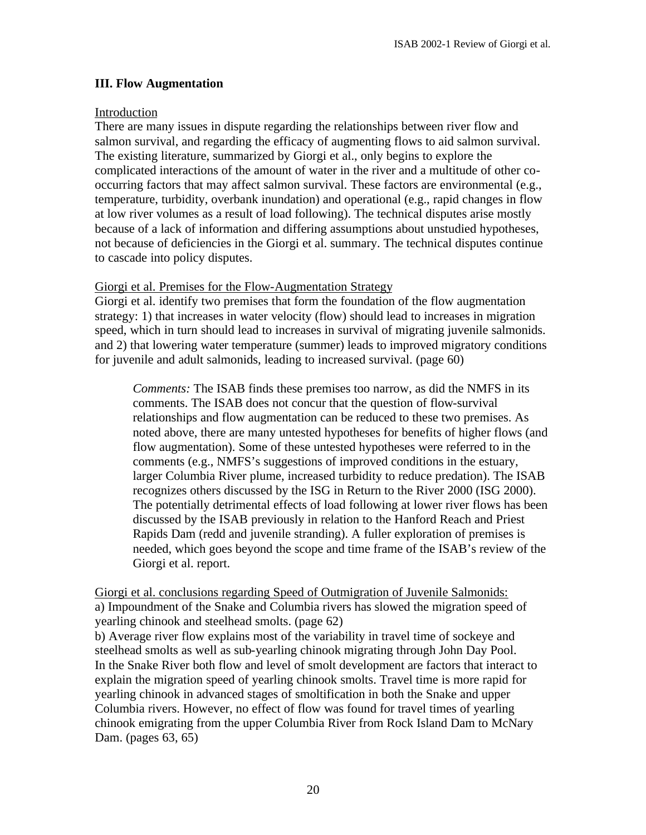#### **III. Flow Augmentation**

#### Introduction

There are many issues in dispute regarding the relationships between river flow and salmon survival, and regarding the efficacy of augmenting flows to aid salmon survival. The existing literature, summarized by Giorgi et al., only begins to explore the complicated interactions of the amount of water in the river and a multitude of other cooccurring factors that may affect salmon survival. These factors are environmental (e.g., temperature, turbidity, overbank inundation) and operational (e.g., rapid changes in flow at low river volumes as a result of load following). The technical disputes arise mostly because of a lack of information and differing assumptions about unstudied hypotheses, not because of deficiencies in the Giorgi et al. summary. The technical disputes continue to cascade into policy disputes.

#### Giorgi et al. Premises for the Flow-Augmentation Strategy

Giorgi et al. identify two premises that form the foundation of the flow augmentation strategy: 1) that increases in water velocity (flow) should lead to increases in migration speed, which in turn should lead to increases in survival of migrating juvenile salmonids. and 2) that lowering water temperature (summer) leads to improved migratory conditions for juvenile and adult salmonids, leading to increased survival. (page 60)

*Comments:* The ISAB finds these premises too narrow, as did the NMFS in its comments. The ISAB does not concur that the question of flow-survival relationships and flow augmentation can be reduced to these two premises. As noted above, there are many untested hypotheses for benefits of higher flows (and flow augmentation). Some of these untested hypotheses were referred to in the comments (e.g., NMFS's suggestions of improved conditions in the estuary, larger Columbia River plume, increased turbidity to reduce predation). The ISAB recognizes others discussed by the ISG in Return to the River 2000 (ISG 2000). The potentially detrimental effects of load following at lower river flows has been discussed by the ISAB previously in relation to the Hanford Reach and Priest Rapids Dam (redd and juvenile stranding). A fuller exploration of premises is needed, which goes beyond the scope and time frame of the ISAB's review of the Giorgi et al. report.

Giorgi et al. conclusions regarding Speed of Outmigration of Juvenile Salmonids: a) Impoundment of the Snake and Columbia rivers has slowed the migration speed of yearling chinook and steelhead smolts. (page 62)

b) Average river flow explains most of the variability in travel time of sockeye and steelhead smolts as well as sub-yearling chinook migrating through John Day Pool. In the Snake River both flow and level of smolt development are factors that interact to explain the migration speed of yearling chinook smolts. Travel time is more rapid for yearling chinook in advanced stages of smoltification in both the Snake and upper Columbia rivers. However, no effect of flow was found for travel times of yearling chinook emigrating from the upper Columbia River from Rock Island Dam to McNary Dam. (pages 63, 65)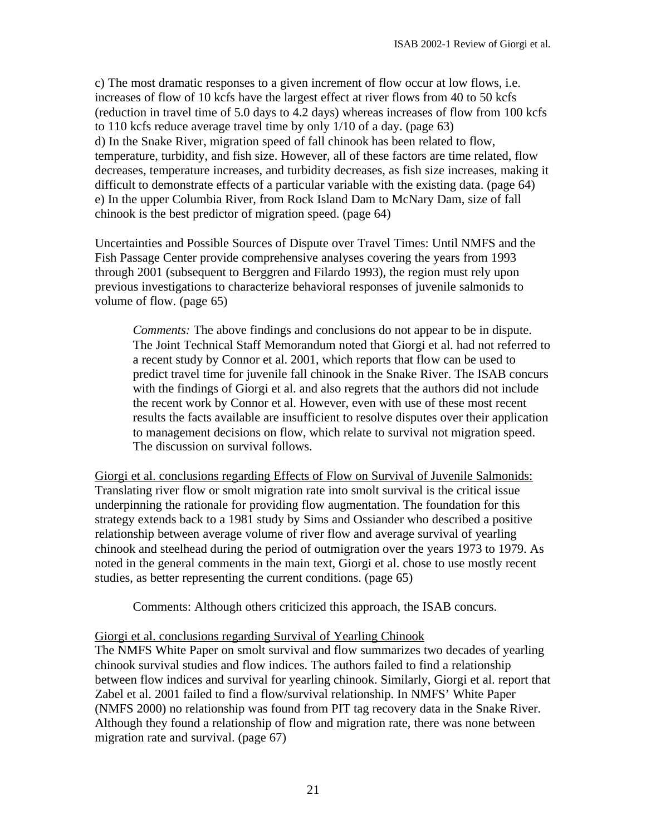c) The most dramatic responses to a given increment of flow occur at low flows, i.e. increases of flow of 10 kcfs have the largest effect at river flows from 40 to 50 kcfs (reduction in travel time of 5.0 days to 4.2 days) whereas increases of flow from 100 kcfs to 110 kcfs reduce average travel time by only 1/10 of a day. (page 63) d) In the Snake River, migration speed of fall chinook has been related to flow, temperature, turbidity, and fish size. However, all of these factors are time related, flow decreases, temperature increases, and turbidity decreases, as fish size increases, making it difficult to demonstrate effects of a particular variable with the existing data. (page 64) e) In the upper Columbia River, from Rock Island Dam to McNary Dam, size of fall chinook is the best predictor of migration speed. (page 64)

Uncertainties and Possible Sources of Dispute over Travel Times: Until NMFS and the Fish Passage Center provide comprehensive analyses covering the years from 1993 through 2001 (subsequent to Berggren and Filardo 1993), the region must rely upon previous investigations to characterize behavioral responses of juvenile salmonids to volume of flow. (page 65)

*Comments:* The above findings and conclusions do not appear to be in dispute. The Joint Technical Staff Memorandum noted that Giorgi et al. had not referred to a recent study by Connor et al. 2001, which reports that flow can be used to predict travel time for juvenile fall chinook in the Snake River. The ISAB concurs with the findings of Giorgi et al. and also regrets that the authors did not include the recent work by Connor et al. However, even with use of these most recent results the facts available are insufficient to resolve disputes over their application to management decisions on flow, which relate to survival not migration speed. The discussion on survival follows.

Giorgi et al. conclusions regarding Effects of Flow on Survival of Juvenile Salmonids: Translating river flow or smolt migration rate into smolt survival is the critical issue underpinning the rationale for providing flow augmentation. The foundation for this strategy extends back to a 1981 study by Sims and Ossiander who described a positive relationship between average volume of river flow and average survival of yearling chinook and steelhead during the period of outmigration over the years 1973 to 1979. As noted in the general comments in the main text, Giorgi et al. chose to use mostly recent studies, as better representing the current conditions. (page 65)

Comments: Although others criticized this approach, the ISAB concurs.

#### Giorgi et al. conclusions regarding Survival of Yearling Chinook

The NMFS White Paper on smolt survival and flow summarizes two decades of yearling chinook survival studies and flow indices. The authors failed to find a relationship between flow indices and survival for yearling chinook. Similarly, Giorgi et al. report that Zabel et al. 2001 failed to find a flow/survival relationship. In NMFS' White Paper (NMFS 2000) no relationship was found from PIT tag recovery data in the Snake River. Although they found a relationship of flow and migration rate, there was none between migration rate and survival. (page 67)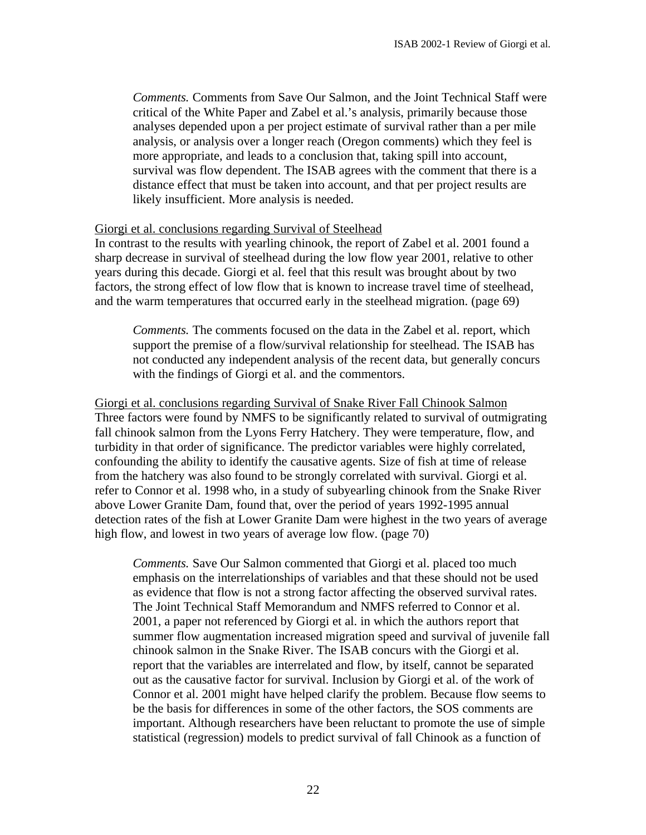*Comments.* Comments from Save Our Salmon, and the Joint Technical Staff were critical of the White Paper and Zabel et al.'s analysis, primarily because those analyses depended upon a per project estimate of survival rather than a per mile analysis, or analysis over a longer reach (Oregon comments) which they feel is more appropriate, and leads to a conclusion that, taking spill into account, survival was flow dependent. The ISAB agrees with the comment that there is a distance effect that must be taken into account, and that per project results are likely insufficient. More analysis is needed.

#### Giorgi et al. conclusions regarding Survival of Steelhead

In contrast to the results with yearling chinook, the report of Zabel et al. 2001 found a sharp decrease in survival of steelhead during the low flow year 2001, relative to other years during this decade. Giorgi et al. feel that this result was brought about by two factors, the strong effect of low flow that is known to increase travel time of steelhead, and the warm temperatures that occurred early in the steelhead migration. (page 69)

*Comments.* The comments focused on the data in the Zabel et al. report, which support the premise of a flow/survival relationship for steelhead. The ISAB has not conducted any independent analysis of the recent data, but generally concurs with the findings of Giorgi et al. and the commentors.

Giorgi et al. conclusions regarding Survival of Snake River Fall Chinook Salmon Three factors were found by NMFS to be significantly related to survival of outmigrating fall chinook salmon from the Lyons Ferry Hatchery. They were temperature, flow, and turbidity in that order of significance. The predictor variables were highly correlated, confounding the ability to identify the causative agents. Size of fish at time of release from the hatchery was also found to be strongly correlated with survival. Giorgi et al. refer to Connor et al. 1998 who, in a study of subyearling chinook from the Snake River above Lower Granite Dam, found that, over the period of years 1992-1995 annual detection rates of the fish at Lower Granite Dam were highest in the two years of average high flow, and lowest in two years of average low flow. (page 70)

*Comments.* Save Our Salmon commented that Giorgi et al. placed too much emphasis on the interrelationships of variables and that these should not be used as evidence that flow is not a strong factor affecting the observed survival rates. The Joint Technical Staff Memorandum and NMFS referred to Connor et al. 2001, a paper not referenced by Giorgi et al. in which the authors report that summer flow augmentation increased migration speed and survival of juvenile fall chinook salmon in the Snake River. The ISAB concurs with the Giorgi et al. report that the variables are interrelated and flow, by itself, cannot be separated out as the causative factor for survival. Inclusion by Giorgi et al. of the work of Connor et al. 2001 might have helped clarify the problem. Because flow seems to be the basis for differences in some of the other factors, the SOS comments are important. Although researchers have been reluctant to promote the use of simple statistical (regression) models to predict survival of fall Chinook as a function of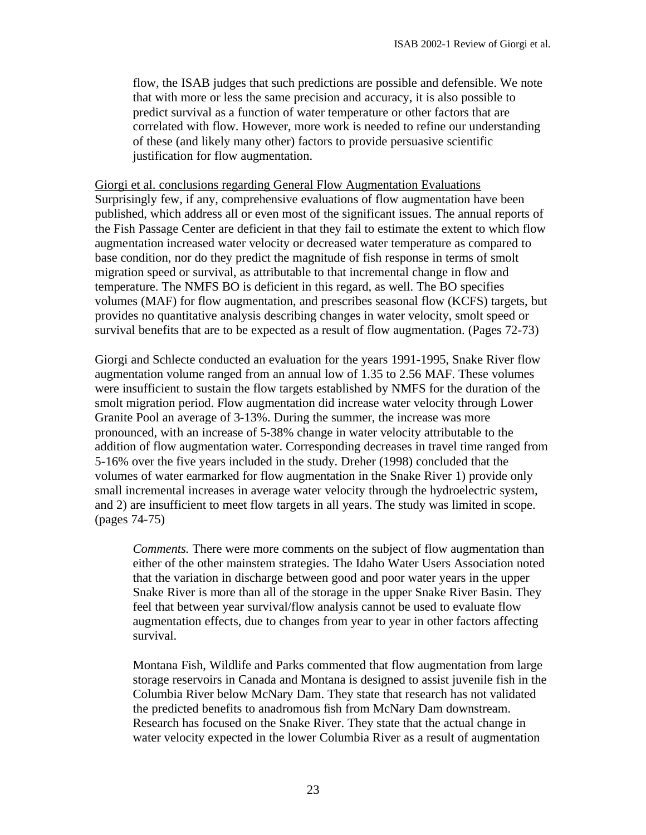flow, the ISAB judges that such predictions are possible and defensible. We note that with more or less the same precision and accuracy, it is also possible to predict survival as a function of water temperature or other factors that are correlated with flow. However, more work is needed to refine our understanding of these (and likely many other) factors to provide persuasive scientific justification for flow augmentation.

Giorgi et al. conclusions regarding General Flow Augmentation Evaluations Surprisingly few, if any, comprehensive evaluations of flow augmentation have been published, which address all or even most of the significant issues. The annual reports of the Fish Passage Center are deficient in that they fail to estimate the extent to which flow augmentation increased water velocity or decreased water temperature as compared to base condition, nor do they predict the magnitude of fish response in terms of smolt migration speed or survival, as attributable to that incremental change in flow and temperature. The NMFS BO is deficient in this regard, as well. The BO specifies volumes (MAF) for flow augmentation, and prescribes seasonal flow (KCFS) targets, but provides no quantitative analysis describing changes in water velocity, smolt speed or survival benefits that are to be expected as a result of flow augmentation. (Pages 72-73)

Giorgi and Schlecte conducted an evaluation for the years 1991-1995, Snake River flow augmentation volume ranged from an annual low of 1.35 to 2.56 MAF. These volumes were insufficient to sustain the flow targets established by NMFS for the duration of the smolt migration period. Flow augmentation did increase water velocity through Lower Granite Pool an average of 3-13%. During the summer, the increase was more pronounced, with an increase of 5-38% change in water velocity attributable to the addition of flow augmentation water. Corresponding decreases in travel time ranged from 5-16% over the five years included in the study. Dreher (1998) concluded that the volumes of water earmarked for flow augmentation in the Snake River 1) provide only small incremental increases in average water velocity through the hydroelectric system, and 2) are insufficient to meet flow targets in all years. The study was limited in scope. (pages 74-75)

*Comments.* There were more comments on the subject of flow augmentation than either of the other mainstem strategies. The Idaho Water Users Association noted that the variation in discharge between good and poor water years in the upper Snake River is more than all of the storage in the upper Snake River Basin. They feel that between year survival/flow analysis cannot be used to evaluate flow augmentation effects, due to changes from year to year in other factors affecting survival.

Montana Fish, Wildlife and Parks commented that flow augmentation from large storage reservoirs in Canada and Montana is designed to assist juvenile fish in the Columbia River below McNary Dam. They state that research has not validated the predicted benefits to anadromous fish from McNary Dam downstream. Research has focused on the Snake River. They state that the actual change in water velocity expected in the lower Columbia River as a result of augmentation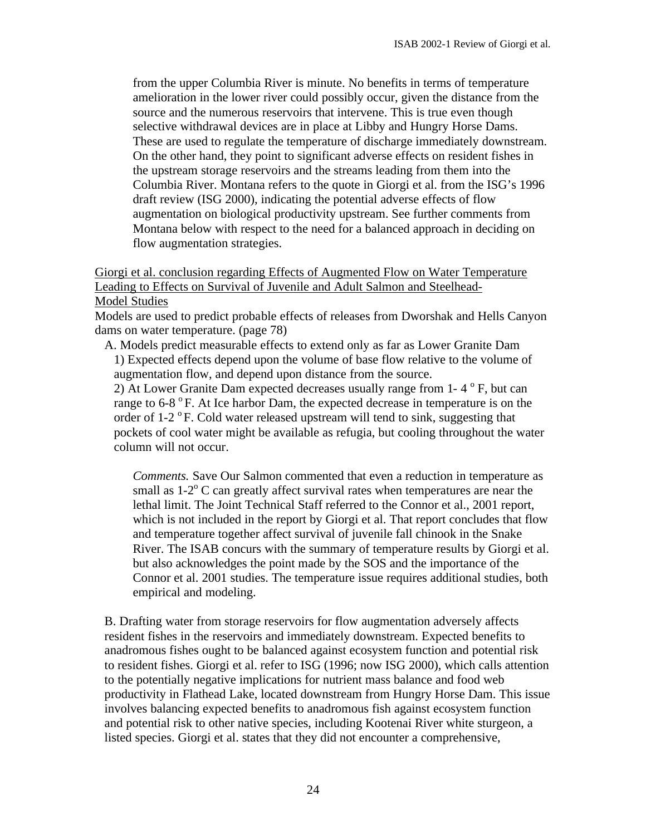from the upper Columbia River is minute. No benefits in terms of temperature amelioration in the lower river could possibly occur, given the distance from the source and the numerous reservoirs that intervene. This is true even though selective withdrawal devices are in place at Libby and Hungry Horse Dams. These are used to regulate the temperature of discharge immediately downstream. On the other hand, they point to significant adverse effects on resident fishes in the upstream storage reservoirs and the streams leading from them into the Columbia River. Montana refers to the quote in Giorgi et al. from the ISG's 1996 draft review (ISG 2000), indicating the potential adverse effects of flow augmentation on biological productivity upstream. See further comments from Montana below with respect to the need for a balanced approach in deciding on flow augmentation strategies.

# Giorgi et al. conclusion regarding Effects of Augmented Flow on Water Temperature Leading to Effects on Survival of Juvenile and Adult Salmon and Steelhead-Model Studies

Models are used to predict probable effects of releases from Dworshak and Hells Canyon dams on water temperature. (page 78)

A. Models predict measurable effects to extend only as far as Lower Granite Dam 1) Expected effects depend upon the volume of base flow relative to the volume of augmentation flow, and depend upon distance from the source.

2) At Lower Granite Dam expected decreases usually range from  $1 - 4^\circ F$ , but can range to  $6-8$  °F. At Ice harbor Dam, the expected decrease in temperature is on the order of  $1-2$  °F. Cold water released upstream will tend to sink, suggesting that pockets of cool water might be available as refugia, but cooling throughout the water column will not occur.

*Comments.* Save Our Salmon commented that even a reduction in temperature as small as  $1-2$ <sup>o</sup> C can greatly affect survival rates when temperatures are near the lethal limit. The Joint Technical Staff referred to the Connor et al., 2001 report, which is not included in the report by Giorgi et al. That report concludes that flow and temperature together affect survival of juvenile fall chinook in the Snake River. The ISAB concurs with the summary of temperature results by Giorgi et al. but also acknowledges the point made by the SOS and the importance of the Connor et al. 2001 studies. The temperature issue requires additional studies, both empirical and modeling.

B. Drafting water from storage reservoirs for flow augmentation adversely affects resident fishes in the reservoirs and immediately downstream. Expected benefits to anadromous fishes ought to be balanced against ecosystem function and potential risk to resident fishes. Giorgi et al. refer to ISG (1996; now ISG 2000), which calls attention to the potentially negative implications for nutrient mass balance and food web productivity in Flathead Lake, located downstream from Hungry Horse Dam. This issue involves balancing expected benefits to anadromous fish against ecosystem function and potential risk to other native species, including Kootenai River white sturgeon, a listed species. Giorgi et al. states that they did not encounter a comprehensive,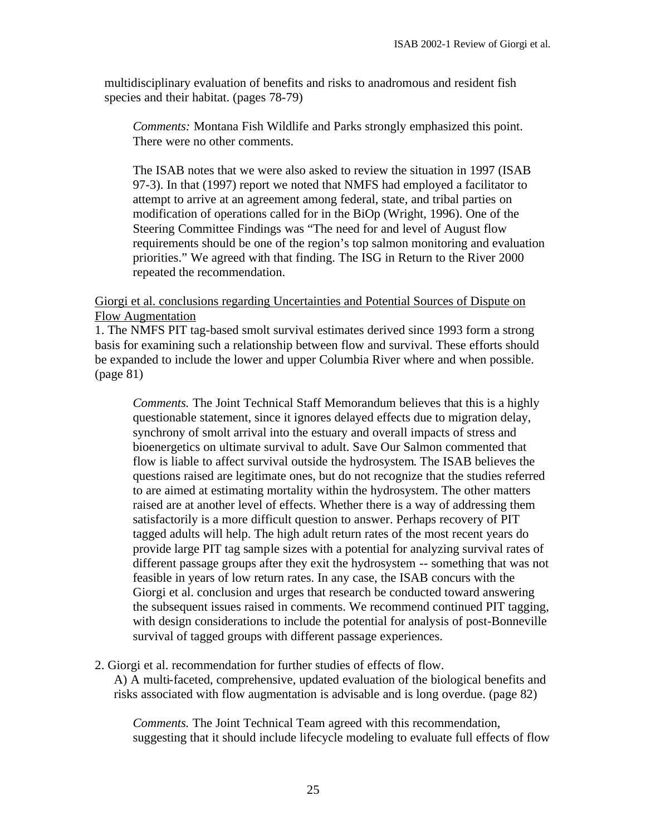multidisciplinary evaluation of benefits and risks to anadromous and resident fish species and their habitat. (pages 78-79)

*Comments:* Montana Fish Wildlife and Parks strongly emphasized this point. There were no other comments.

The ISAB notes that we were also asked to review the situation in 1997 (ISAB 97-3). In that (1997) report we noted that NMFS had employed a facilitator to attempt to arrive at an agreement among federal, state, and tribal parties on modification of operations called for in the BiOp (Wright, 1996). One of the Steering Committee Findings was "The need for and level of August flow requirements should be one of the region's top salmon monitoring and evaluation priorities." We agreed with that finding. The ISG in Return to the River 2000 repeated the recommendation.

#### Giorgi et al. conclusions regarding Uncertainties and Potential Sources of Dispute on Flow Augmentation

1. The NMFS PIT tag-based smolt survival estimates derived since 1993 form a strong basis for examining such a relationship between flow and survival. These efforts should be expanded to include the lower and upper Columbia River where and when possible. (page 81)

*Comments.* The Joint Technical Staff Memorandum believes that this is a highly questionable statement, since it ignores delayed effects due to migration delay, synchrony of smolt arrival into the estuary and overall impacts of stress and bioenergetics on ultimate survival to adult. Save Our Salmon commented that flow is liable to affect survival outside the hydrosystem. The ISAB believes the questions raised are legitimate ones, but do not recognize that the studies referred to are aimed at estimating mortality within the hydrosystem. The other matters raised are at another level of effects. Whether there is a way of addressing them satisfactorily is a more difficult question to answer. Perhaps recovery of PIT tagged adults will help. The high adult return rates of the most recent years do provide large PIT tag sample sizes with a potential for analyzing survival rates of different passage groups after they exit the hydrosystem -- something that was not feasible in years of low return rates. In any case, the ISAB concurs with the Giorgi et al. conclusion and urges that research be conducted toward answering the subsequent issues raised in comments. We recommend continued PIT tagging, with design considerations to include the potential for analysis of post-Bonneville survival of tagged groups with different passage experiences.

2. Giorgi et al. recommendation for further studies of effects of flow.

A) A multi-faceted, comprehensive, updated evaluation of the biological benefits and risks associated with flow augmentation is advisable and is long overdue. (page 82)

*Comments.* The Joint Technical Team agreed with this recommendation, suggesting that it should include lifecycle modeling to evaluate full effects of flow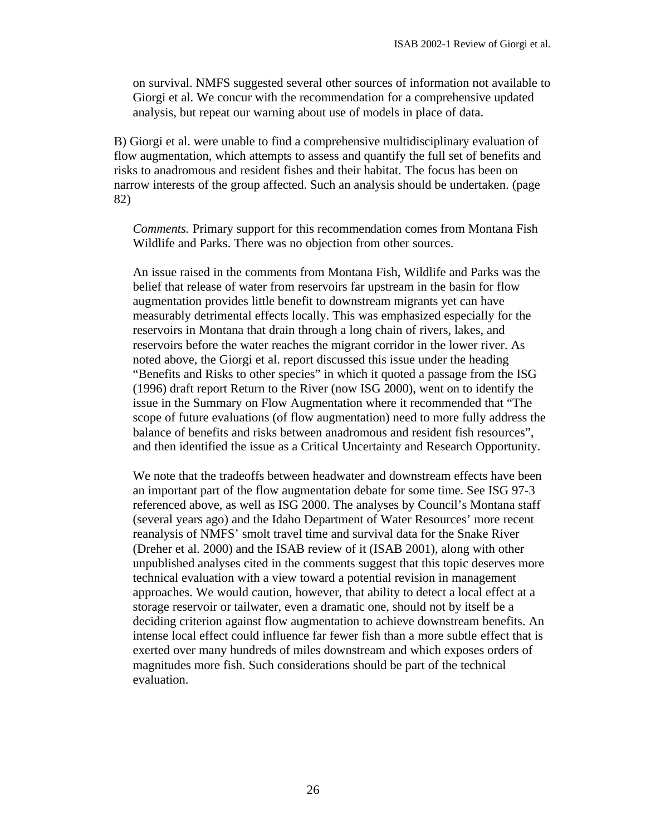on survival. NMFS suggested several other sources of information not available to Giorgi et al. We concur with the recommendation for a comprehensive updated analysis, but repeat our warning about use of models in place of data.

B) Giorgi et al. were unable to find a comprehensive multidisciplinary evaluation of flow augmentation, which attempts to assess and quantify the full set of benefits and risks to anadromous and resident fishes and their habitat. The focus has been on narrow interests of the group affected. Such an analysis should be undertaken. (page 82)

*Comments.* Primary support for this recommendation comes from Montana Fish Wildlife and Parks. There was no objection from other sources.

An issue raised in the comments from Montana Fish, Wildlife and Parks was the belief that release of water from reservoirs far upstream in the basin for flow augmentation provides little benefit to downstream migrants yet can have measurably detrimental effects locally. This was emphasized especially for the reservoirs in Montana that drain through a long chain of rivers, lakes, and reservoirs before the water reaches the migrant corridor in the lower river. As noted above, the Giorgi et al. report discussed this issue under the heading "Benefits and Risks to other species" in which it quoted a passage from the ISG (1996) draft report Return to the River (now ISG 2000), went on to identify the issue in the Summary on Flow Augmentation where it recommended that "The scope of future evaluations (of flow augmentation) need to more fully address the balance of benefits and risks between anadromous and resident fish resources", and then identified the issue as a Critical Uncertainty and Research Opportunity.

We note that the tradeoffs between headwater and downstream effects have been an important part of the flow augmentation debate for some time. See ISG 97-3 referenced above, as well as ISG 2000. The analyses by Council's Montana staff (several years ago) and the Idaho Department of Water Resources' more recent reanalysis of NMFS' smolt travel time and survival data for the Snake River (Dreher et al. 2000) and the ISAB review of it (ISAB 2001), along with other unpublished analyses cited in the comments suggest that this topic deserves more technical evaluation with a view toward a potential revision in management approaches. We would caution, however, that ability to detect a local effect at a storage reservoir or tailwater, even a dramatic one, should not by itself be a deciding criterion against flow augmentation to achieve downstream benefits. An intense local effect could influence far fewer fish than a more subtle effect that is exerted over many hundreds of miles downstream and which exposes orders of magnitudes more fish. Such considerations should be part of the technical evaluation.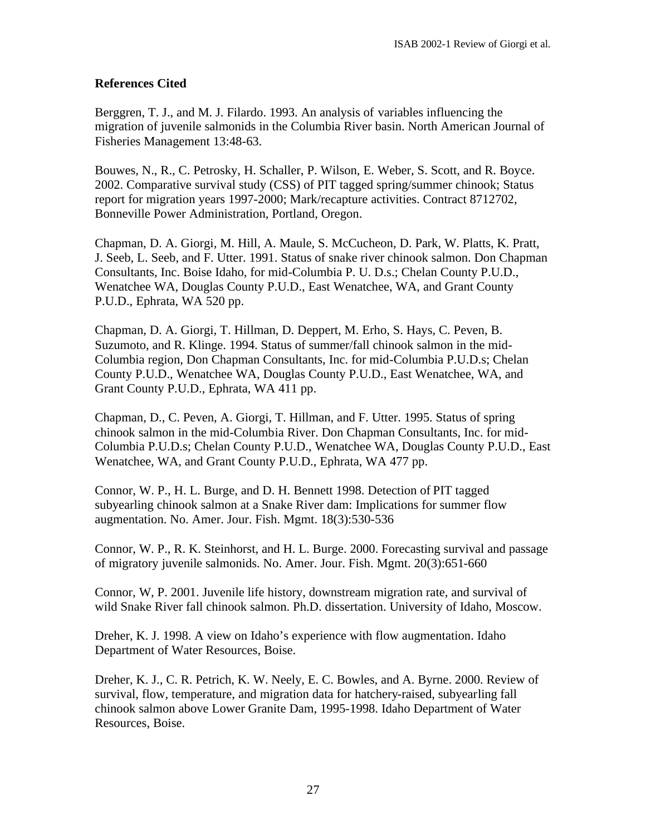# **References Cited**

Berggren, T. J., and M. J. Filardo. 1993. An analysis of variables influencing the migration of juvenile salmonids in the Columbia River basin. North American Journal of Fisheries Management 13:48-63.

Bouwes, N., R., C. Petrosky, H. Schaller, P. Wilson, E. Weber, S. Scott, and R. Boyce. 2002. Comparative survival study (CSS) of PIT tagged spring/summer chinook; Status report for migration years 1997-2000; Mark/recapture activities. Contract 8712702, Bonneville Power Administration, Portland, Oregon.

Chapman, D. A. Giorgi, M. Hill, A. Maule, S. McCucheon, D. Park, W. Platts, K. Pratt, J. Seeb, L. Seeb, and F. Utter. 1991. Status of snake river chinook salmon. Don Chapman Consultants, Inc. Boise Idaho, for mid-Columbia P. U. D.s.; Chelan County P.U.D., Wenatchee WA, Douglas County P.U.D., East Wenatchee, WA, and Grant County P.U.D., Ephrata, WA 520 pp.

Chapman, D. A. Giorgi, T. Hillman, D. Deppert, M. Erho, S. Hays, C. Peven, B. Suzumoto, and R. Klinge. 1994. Status of summer/fall chinook salmon in the mid-Columbia region, Don Chapman Consultants, Inc. for mid-Columbia P.U.D.s; Chelan County P.U.D., Wenatchee WA, Douglas County P.U.D., East Wenatchee, WA, and Grant County P.U.D., Ephrata, WA 411 pp.

Chapman, D., C. Peven, A. Giorgi, T. Hillman, and F. Utter. 1995. Status of spring chinook salmon in the mid-Columbia River. Don Chapman Consultants, Inc. for mid-Columbia P.U.D.s; Chelan County P.U.D., Wenatchee WA, Douglas County P.U.D., East Wenatchee, WA, and Grant County P.U.D., Ephrata, WA 477 pp.

Connor, W. P., H. L. Burge, and D. H. Bennett 1998. Detection of PIT tagged subyearling chinook salmon at a Snake River dam: Implications for summer flow augmentation. No. Amer. Jour. Fish. Mgmt. 18(3):530-536

Connor, W. P., R. K. Steinhorst, and H. L. Burge. 2000. Forecasting survival and passage of migratory juvenile salmonids. No. Amer. Jour. Fish. Mgmt. 20(3):651-660

Connor, W, P. 2001. Juvenile life history, downstream migration rate, and survival of wild Snake River fall chinook salmon. Ph.D. dissertation. University of Idaho, Moscow.

Dreher, K. J. 1998. A view on Idaho's experience with flow augmentation. Idaho Department of Water Resources, Boise.

Dreher, K. J., C. R. Petrich, K. W. Neely, E. C. Bowles, and A. Byrne. 2000. Review of survival, flow, temperature, and migration data for hatchery-raised, subyearling fall chinook salmon above Lower Granite Dam, 1995-1998. Idaho Department of Water Resources, Boise.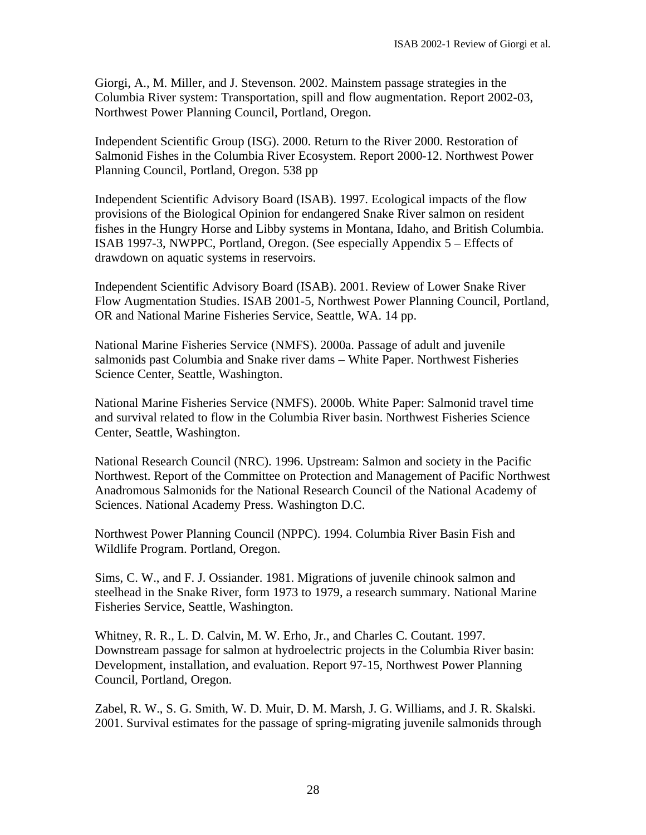Giorgi, A., M. Miller, and J. Stevenson. 2002. Mainstem passage strategies in the Columbia River system: Transportation, spill and flow augmentation. Report 2002-03, Northwest Power Planning Council, Portland, Oregon.

Independent Scientific Group (ISG). 2000. Return to the River 2000. Restoration of Salmonid Fishes in the Columbia River Ecosystem. Report 2000-12. Northwest Power Planning Council, Portland, Oregon. 538 pp

Independent Scientific Advisory Board (ISAB). 1997. Ecological impacts of the flow provisions of the Biological Opinion for endangered Snake River salmon on resident fishes in the Hungry Horse and Libby systems in Montana, Idaho, and British Columbia. ISAB 1997-3, NWPPC, Portland, Oregon. (See especially Appendix 5 – Effects of drawdown on aquatic systems in reservoirs.

Independent Scientific Advisory Board (ISAB). 2001. Review of Lower Snake River Flow Augmentation Studies. ISAB 2001-5, Northwest Power Planning Council, Portland, OR and National Marine Fisheries Service, Seattle, WA. 14 pp.

National Marine Fisheries Service (NMFS). 2000a. Passage of adult and juvenile salmonids past Columbia and Snake river dams – White Paper. Northwest Fisheries Science Center, Seattle, Washington.

National Marine Fisheries Service (NMFS). 2000b. White Paper: Salmonid travel time and survival related to flow in the Columbia River basin. Northwest Fisheries Science Center, Seattle, Washington.

National Research Council (NRC). 1996. Upstream: Salmon and society in the Pacific Northwest. Report of the Committee on Protection and Management of Pacific Northwest Anadromous Salmonids for the National Research Council of the National Academy of Sciences. National Academy Press. Washington D.C.

Northwest Power Planning Council (NPPC). 1994. Columbia River Basin Fish and Wildlife Program. Portland, Oregon.

Sims, C. W., and F. J. Ossiander. 1981. Migrations of juvenile chinook salmon and steelhead in the Snake River, form 1973 to 1979, a research summary. National Marine Fisheries Service, Seattle, Washington.

Whitney, R. R., L. D. Calvin, M. W. Erho, Jr., and Charles C. Coutant. 1997. Downstream passage for salmon at hydroelectric projects in the Columbia River basin: Development, installation, and evaluation. Report 97-15, Northwest Power Planning Council, Portland, Oregon.

Zabel, R. W., S. G. Smith, W. D. Muir, D. M. Marsh, J. G. Williams, and J. R. Skalski. 2001. Survival estimates for the passage of spring-migrating juvenile salmonids through